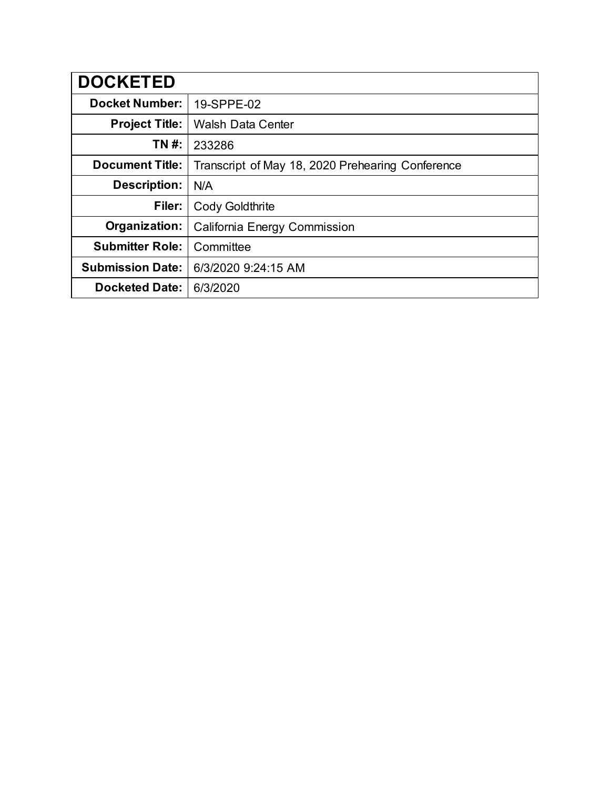| <b>DOCKETED</b>         |                                                  |
|-------------------------|--------------------------------------------------|
| <b>Docket Number:</b>   | 19-SPPE-02                                       |
| <b>Project Title:</b>   | <b>Walsh Data Center</b>                         |
| TN #:                   | 233286                                           |
| <b>Document Title:</b>  | Transcript of May 18, 2020 Prehearing Conference |
| <b>Description:</b>     | N/A                                              |
| Filer:                  | <b>Cody Goldthrite</b>                           |
| Organization:           | California Energy Commission                     |
| <b>Submitter Role:</b>  | Committee                                        |
| <b>Submission Date:</b> | 6/3/2020 9:24:15 AM                              |
| <b>Docketed Date:</b>   | 6/3/2020                                         |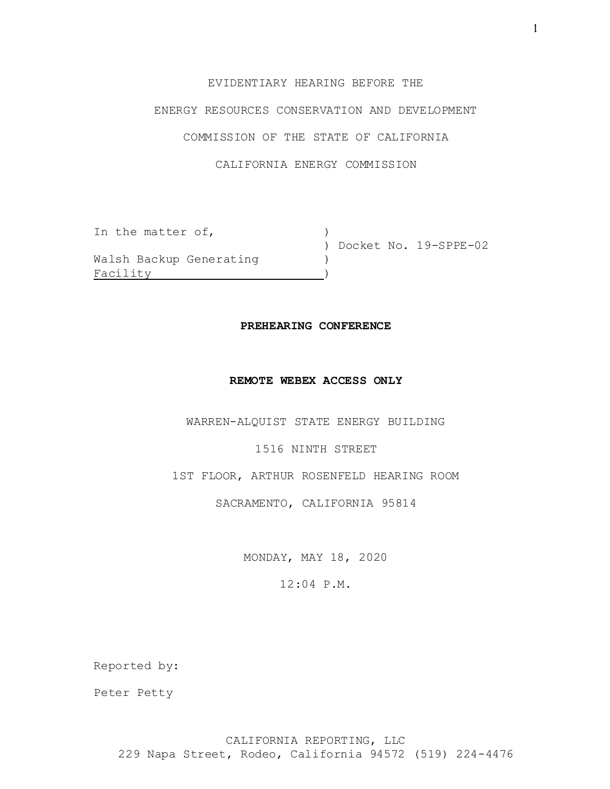# EVIDENTIARY HEARING BEFORE THE

# ENERGY RESOURCES CONSERVATION AND DEVELOPMENT

# COMMISSION OF THE STATE OF CALIFORNIA

# CALIFORNIA ENERGY COMMISSION

| In the matter of,       |                         |
|-------------------------|-------------------------|
|                         | ) Docket No. 19-SPPE-02 |
| Walsh Backup Generating |                         |
| Facility                |                         |

#### **PREHEARING CONFERENCE**

#### **REMOTE WEBEX ACCESS ONLY**

WARREN-ALQUIST STATE ENERGY BUILDING

#### 1516 NINTH STREET

1ST FLOOR, ARTHUR ROSENFELD HEARING ROOM

### SACRAMENTO, CALIFORNIA 95814

MONDAY, MAY 18, 2020

# 12:04 P.M.

Reported by:

Peter Petty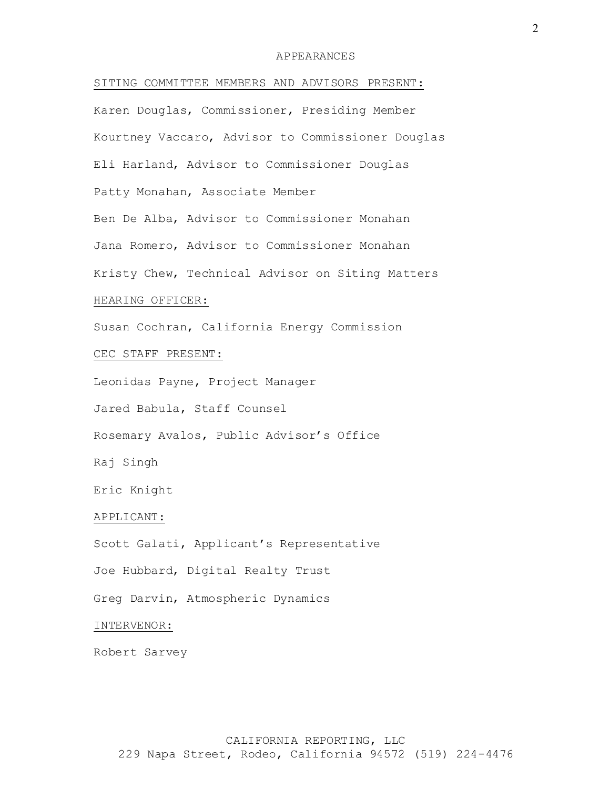#### APPEARANCES

SITING COMMITTEE MEMBERS AND ADVISORS PRESENT: Karen Douglas, Commissioner, Presiding Member Kourtney Vaccaro, Advisor to Commissioner Douglas Eli Harland, Advisor to Commissioner Douglas Patty Monahan, Associate Member Ben De Alba, Advisor to Commissioner Monahan Jana Romero, Advisor to Commissioner Monahan Kristy Chew, Technical Advisor on Siting Matters HEARING OFFICER: Susan Cochran, California Energy Commission CEC STAFF PRESENT: Leonidas Payne, Project Manager Jared Babula, Staff Counsel Rosemary Avalos, Public Advisor's Office Raj Singh Eric Knight APPLICANT: Scott Galati, Applicant's Representative Joe Hubbard, Digital Realty Trust Greg Darvin, Atmospheric Dynamics INTERVENOR: Robert Sarvey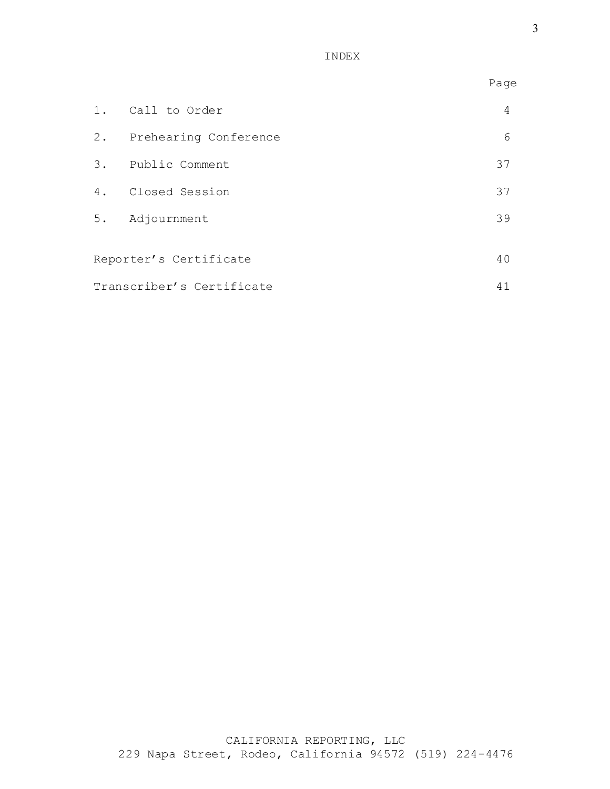INDEX

|                           |                          | Page |
|---------------------------|--------------------------|------|
|                           | 1. Call to Order         | 4    |
|                           | 2. Prehearing Conference | 6    |
|                           | 3. Public Comment        | 37   |
|                           | 4. Closed Session        | 37   |
|                           | 5. Adjournment           | 39   |
|                           | Reporter's Certificate   | 40   |
| Transcriber's Certificate |                          | 41   |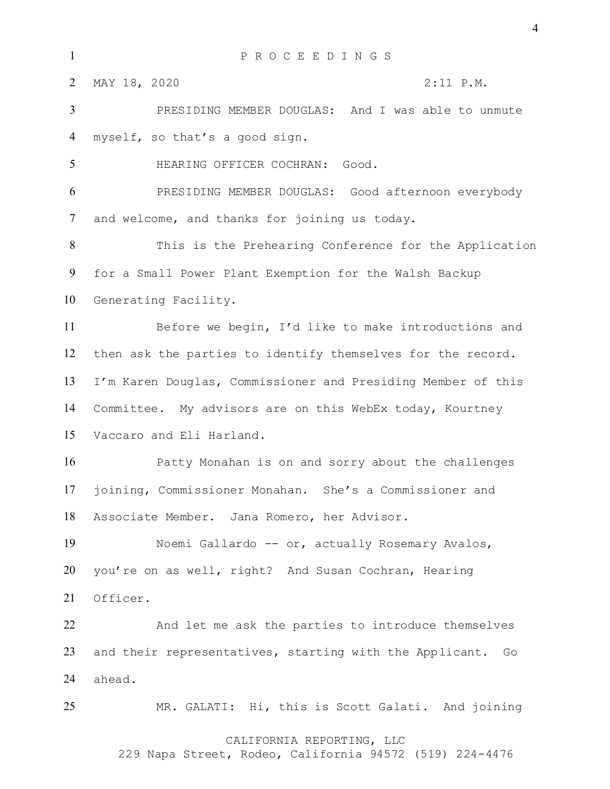| $\mathbf{1}$   | P R O C E E D I N G S                                         |  |  |  |  |  |  |  |
|----------------|---------------------------------------------------------------|--|--|--|--|--|--|--|
| 2              | MAY 18, 2020<br>$2:11$ P.M.                                   |  |  |  |  |  |  |  |
| $\overline{3}$ | PRESIDING MEMBER DOUGLAS: And I was able to unmute            |  |  |  |  |  |  |  |
| 4              | myself, so that's a good sign.                                |  |  |  |  |  |  |  |
| 5              | HEARING OFFICER COCHRAN: Good.                                |  |  |  |  |  |  |  |
| 6              | PRESIDING MEMBER DOUGLAS: Good afternoon everybody            |  |  |  |  |  |  |  |
| 7              | and welcome, and thanks for joining us today.                 |  |  |  |  |  |  |  |
| 8              | This is the Prehearing Conference for the Application         |  |  |  |  |  |  |  |
| 9              | for a Small Power Plant Exemption for the Walsh Backup        |  |  |  |  |  |  |  |
| 10             | Generating Facility.                                          |  |  |  |  |  |  |  |
| 11             | Before we begin, I'd like to make introductions and           |  |  |  |  |  |  |  |
| 12             | then ask the parties to identify themselves for the record.   |  |  |  |  |  |  |  |
| 13             | I'm Karen Douglas, Commissioner and Presiding Member of this  |  |  |  |  |  |  |  |
| 14             | Committee. My advisors are on this WebEx today, Kourtney      |  |  |  |  |  |  |  |
| 15             | Vaccaro and Eli Harland.                                      |  |  |  |  |  |  |  |
| 16             | Patty Monahan is on and sorry about the challenges            |  |  |  |  |  |  |  |
| 17             | joining, Commissioner Monahan. She's a Commissioner and       |  |  |  |  |  |  |  |
| 18             | Associate Member. Jana Romero, her Advisor.                   |  |  |  |  |  |  |  |
| 19             | Noemi Gallardo -- or, actually Rosemary Avalos,               |  |  |  |  |  |  |  |
| 20             | you're on as well, right? And Susan Cochran, Hearing          |  |  |  |  |  |  |  |
| 21             | Officer.                                                      |  |  |  |  |  |  |  |
| 22             | And let me ask the parties to introduce themselves            |  |  |  |  |  |  |  |
| 23             | and their representatives, starting with the Applicant.<br>Go |  |  |  |  |  |  |  |
| 24             | ahead.                                                        |  |  |  |  |  |  |  |
| 25             | MR. GALATI: Hi, this is Scott Galati. And joining             |  |  |  |  |  |  |  |
|                | CALIFORNIA REPORTING, LLC                                     |  |  |  |  |  |  |  |

229 Napa Street, Rodeo, California 94572 (519) 224-4476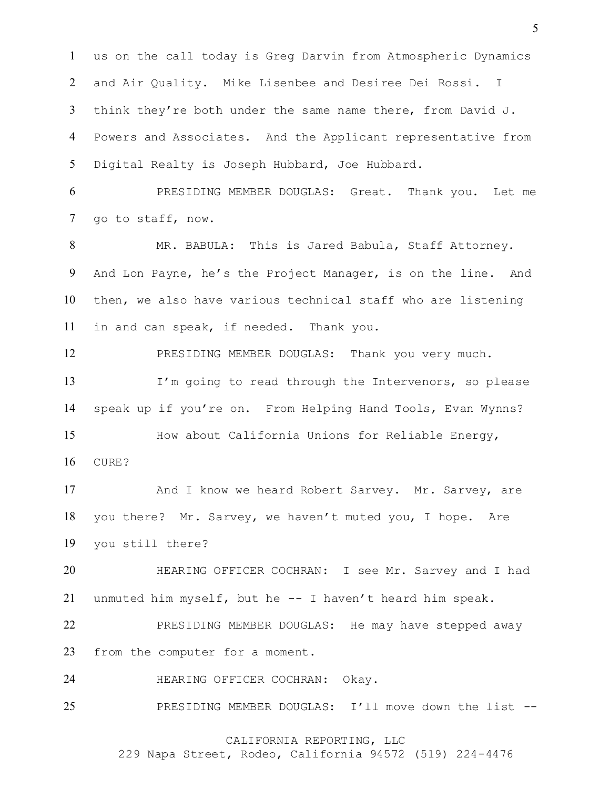us on the call today is Greg Darvin from Atmospheric Dynamics and Air Quality. Mike Lisenbee and Desiree Dei Rossi. I think they're both under the same name there, from David J. Powers and Associates. And the Applicant representative from Digital Realty is Joseph Hubbard, Joe Hubbard.

 PRESIDING MEMBER DOUGLAS: Great. Thank you. Let me go to staff, now.

 MR. BABULA: This is Jared Babula, Staff Attorney. And Lon Payne, he's the Project Manager, is on the line. And then, we also have various technical staff who are listening in and can speak, if needed. Thank you.

 PRESIDING MEMBER DOUGLAS: Thank you very much. 13 I'm going to read through the Intervenors, so please speak up if you're on. From Helping Hand Tools, Evan Wynns? How about California Unions for Reliable Energy,

CURE?

17 And I know we heard Robert Sarvey. Mr. Sarvey, are you there? Mr. Sarvey, we haven't muted you, I hope. Are you still there?

 HEARING OFFICER COCHRAN: I see Mr. Sarvey and I had unmuted him myself, but he -- I haven't heard him speak.

22 PRESIDING MEMBER DOUGLAS: He may have stepped away from the computer for a moment.

HEARING OFFICER COCHRAN: Okay.

PRESIDING MEMBER DOUGLAS: I'll move down the list --

# CALIFORNIA REPORTING, LLC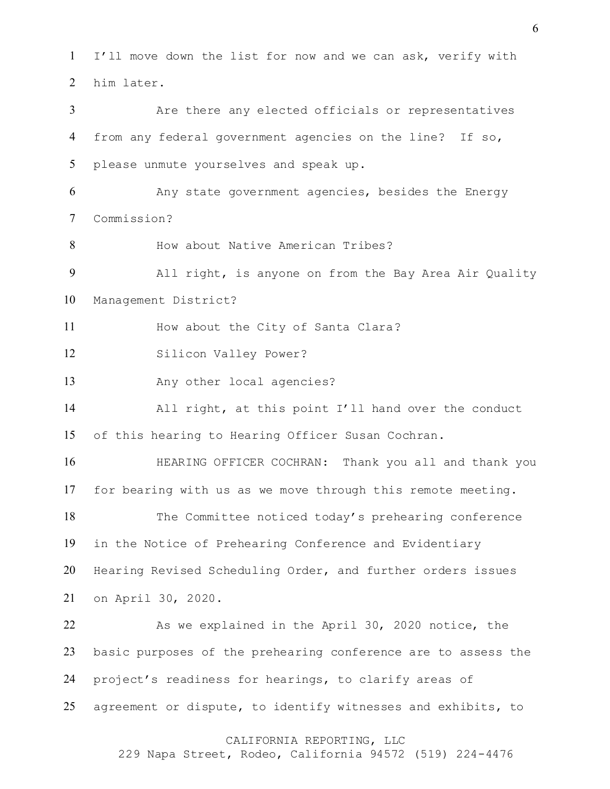CALIFORNIA REPORTING, LLC I'll move down the list for now and we can ask, verify with him later. Are there any elected officials or representatives from any federal government agencies on the line? If so, please unmute yourselves and speak up. Any state government agencies, besides the Energy Commission? 8 How about Native American Tribes? All right, is anyone on from the Bay Area Air Quality Management District? 11 How about the City of Santa Clara? Silicon Valley Power? 13 Any other local agencies? All right, at this point I'll hand over the conduct of this hearing to Hearing Officer Susan Cochran. HEARING OFFICER COCHRAN: Thank you all and thank you for bearing with us as we move through this remote meeting. The Committee noticed today's prehearing conference in the Notice of Prehearing Conference and Evidentiary Hearing Revised Scheduling Order, and further orders issues on April 30, 2020. 22 As we explained in the April 30, 2020 notice, the basic purposes of the prehearing conference are to assess the project's readiness for hearings, to clarify areas of agreement or dispute, to identify witnesses and exhibits, to

229 Napa Street, Rodeo, California 94572 (519) 224-4476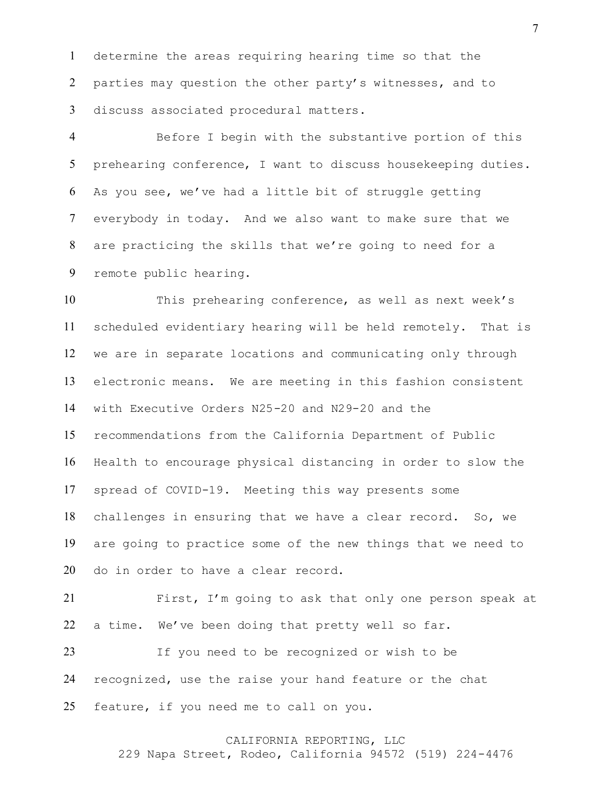determine the areas requiring hearing time so that the parties may question the other party's witnesses, and to discuss associated procedural matters.

 Before I begin with the substantive portion of this prehearing conference, I want to discuss housekeeping duties. As you see, we've had a little bit of struggle getting everybody in today. And we also want to make sure that we are practicing the skills that we're going to need for a remote public hearing.

 This prehearing conference, as well as next week's scheduled evidentiary hearing will be held remotely. That is we are in separate locations and communicating only through electronic means. We are meeting in this fashion consistent with Executive Orders N25-20 and N29-20 and the recommendations from the California Department of Public Health to encourage physical distancing in order to slow the spread of COVID-19. Meeting this way presents some challenges in ensuring that we have a clear record. So, we are going to practice some of the new things that we need to do in order to have a clear record.

 First, I'm going to ask that only one person speak at a time. We've been doing that pretty well so far.

 If you need to be recognized or wish to be recognized, use the raise your hand feature or the chat feature, if you need me to call on you.

# CALIFORNIA REPORTING, LLC

229 Napa Street, Rodeo, California 94572 (519) 224-4476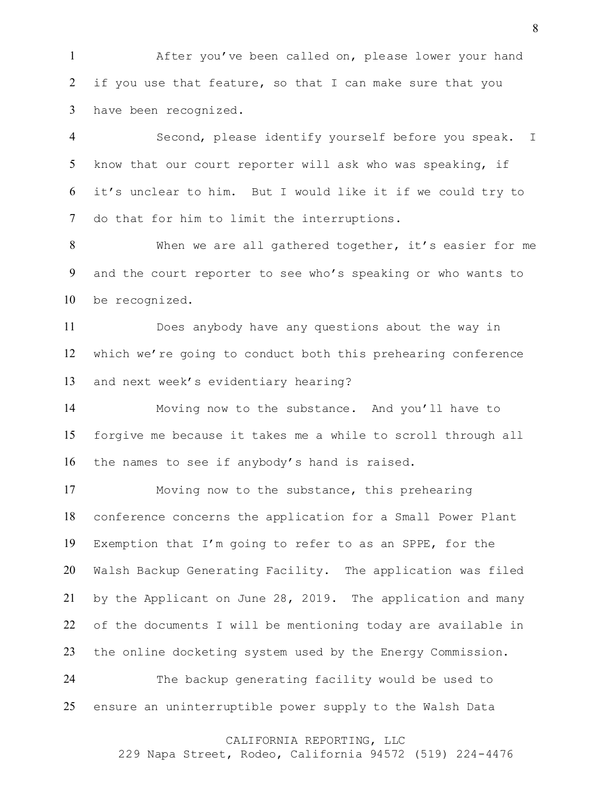After you've been called on, please lower your hand if you use that feature, so that I can make sure that you have been recognized.

 Second, please identify yourself before you speak. I know that our court reporter will ask who was speaking, if it's unclear to him. But I would like it if we could try to do that for him to limit the interruptions.

 When we are all gathered together, it's easier for me and the court reporter to see who's speaking or who wants to be recognized.

 Does anybody have any questions about the way in which we're going to conduct both this prehearing conference and next week's evidentiary hearing?

 Moving now to the substance. And you'll have to forgive me because it takes me a while to scroll through all the names to see if anybody's hand is raised.

 Moving now to the substance, this prehearing conference concerns the application for a Small Power Plant Exemption that I'm going to refer to as an SPPE, for the Walsh Backup Generating Facility. The application was filed by the Applicant on June 28, 2019. The application and many of the documents I will be mentioning today are available in the online docketing system used by the Energy Commission.

 The backup generating facility would be used to ensure an uninterruptible power supply to the Walsh Data

### CALIFORNIA REPORTING, LLC

229 Napa Street, Rodeo, California 94572 (519) 224-4476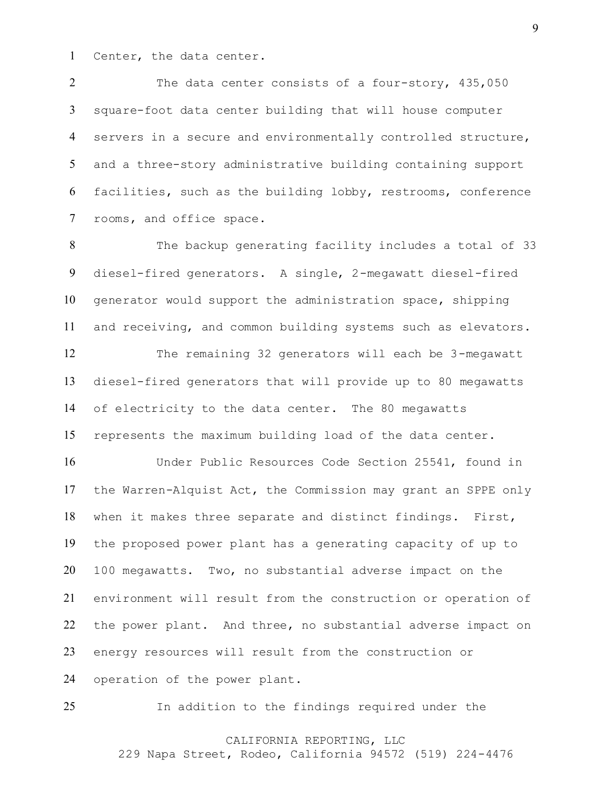Center, the data center.

2 The data center consists of a four-story, 435,050 square-foot data center building that will house computer servers in a secure and environmentally controlled structure, and a three-story administrative building containing support facilities, such as the building lobby, restrooms, conference rooms, and office space.

 The backup generating facility includes a total of 33 diesel-fired generators. A single, 2-megawatt diesel-fired generator would support the administration space, shipping and receiving, and common building systems such as elevators. The remaining 32 generators will each be 3-megawatt diesel-fired generators that will provide up to 80 megawatts of electricity to the data center. The 80 megawatts represents the maximum building load of the data center.

 Under Public Resources Code Section 25541, found in the Warren-Alquist Act, the Commission may grant an SPPE only when it makes three separate and distinct findings. First, the proposed power plant has a generating capacity of up to 100 megawatts. Two, no substantial adverse impact on the environment will result from the construction or operation of the power plant. And three, no substantial adverse impact on energy resources will result from the construction or operation of the power plant.

In addition to the findings required under the

# CALIFORNIA REPORTING, LLC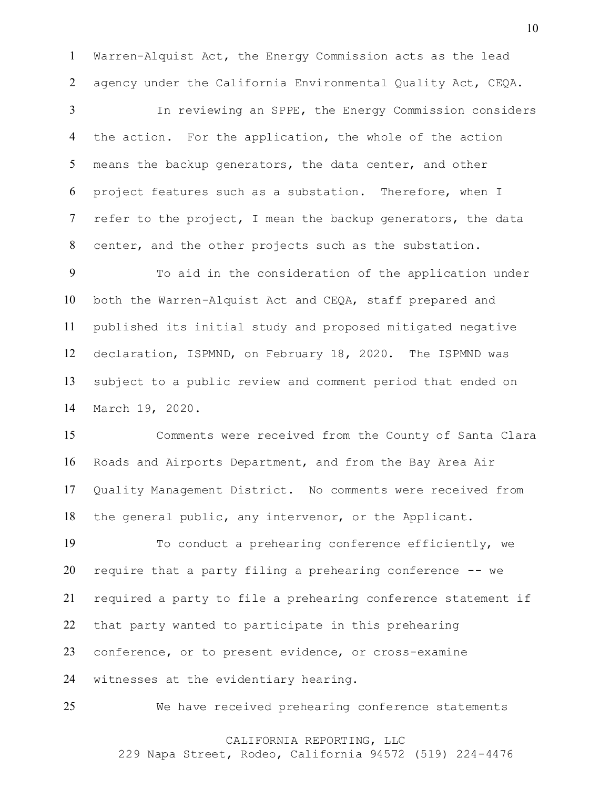Warren-Alquist Act, the Energy Commission acts as the lead agency under the California Environmental Quality Act, CEQA.

 In reviewing an SPPE, the Energy Commission considers the action. For the application, the whole of the action means the backup generators, the data center, and other project features such as a substation. Therefore, when I 7 refer to the project, I mean the backup generators, the data center, and the other projects such as the substation.

 To aid in the consideration of the application under both the Warren-Alquist Act and CEQA, staff prepared and published its initial study and proposed mitigated negative declaration, ISPMND, on February 18, 2020. The ISPMND was subject to a public review and comment period that ended on March 19, 2020.

 Comments were received from the County of Santa Clara Roads and Airports Department, and from the Bay Area Air Quality Management District. No comments were received from the general public, any intervenor, or the Applicant.

 To conduct a prehearing conference efficiently, we require that a party filing a prehearing conference -- we required a party to file a prehearing conference statement if that party wanted to participate in this prehearing conference, or to present evidence, or cross-examine witnesses at the evidentiary hearing.

We have received prehearing conference statements

# CALIFORNIA REPORTING, LLC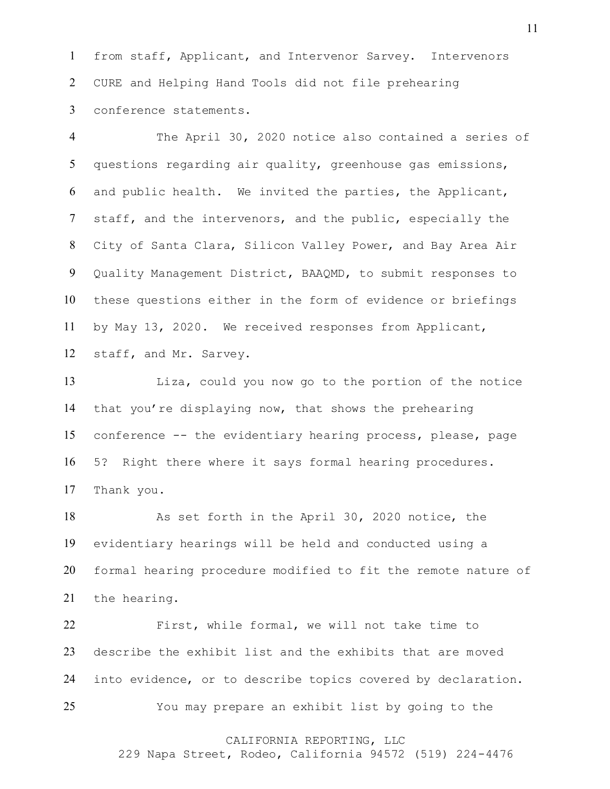from staff, Applicant, and Intervenor Sarvey. Intervenors CURE and Helping Hand Tools did not file prehearing conference statements.

 The April 30, 2020 notice also contained a series of questions regarding air quality, greenhouse gas emissions, and public health. We invited the parties, the Applicant, staff, and the intervenors, and the public, especially the City of Santa Clara, Silicon Valley Power, and Bay Area Air Quality Management District, BAAQMD, to submit responses to these questions either in the form of evidence or briefings by May 13, 2020. We received responses from Applicant, staff, and Mr. Sarvey.

 Liza, could you now go to the portion of the notice that you're displaying now, that shows the prehearing conference -- the evidentiary hearing process, please, page 5? Right there where it says formal hearing procedures. Thank you.

 As set forth in the April 30, 2020 notice, the evidentiary hearings will be held and conducted using a formal hearing procedure modified to fit the remote nature of the hearing.

 First, while formal, we will not take time to describe the exhibit list and the exhibits that are moved into evidence, or to describe topics covered by declaration. You may prepare an exhibit list by going to the

# CALIFORNIA REPORTING, LLC

229 Napa Street, Rodeo, California 94572 (519) 224-4476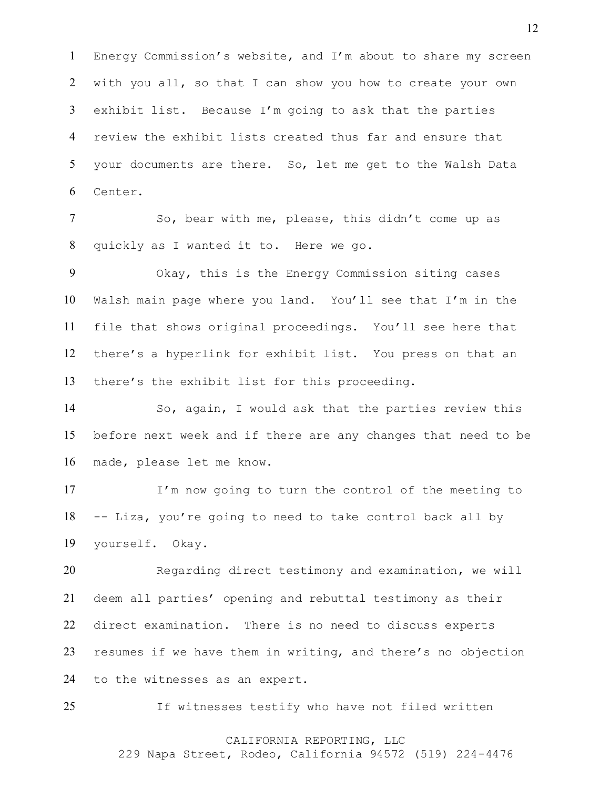Energy Commission's website, and I'm about to share my screen with you all, so that I can show you how to create your own exhibit list. Because I'm going to ask that the parties review the exhibit lists created thus far and ensure that your documents are there. So, let me get to the Walsh Data Center.

7 So, bear with me, please, this didn't come up as quickly as I wanted it to. Here we go.

 Okay, this is the Energy Commission siting cases Walsh main page where you land. You'll see that I'm in the file that shows original proceedings. You'll see here that there's a hyperlink for exhibit list. You press on that an there's the exhibit list for this proceeding.

 So, again, I would ask that the parties review this before next week and if there are any changes that need to be made, please let me know.

 I'm now going to turn the control of the meeting to -- Liza, you're going to need to take control back all by yourself. Okay.

 Regarding direct testimony and examination, we will deem all parties' opening and rebuttal testimony as their direct examination. There is no need to discuss experts resumes if we have them in writing, and there's no objection to the witnesses as an expert.

If witnesses testify who have not filed written

# CALIFORNIA REPORTING, LLC

229 Napa Street, Rodeo, California 94572 (519) 224-4476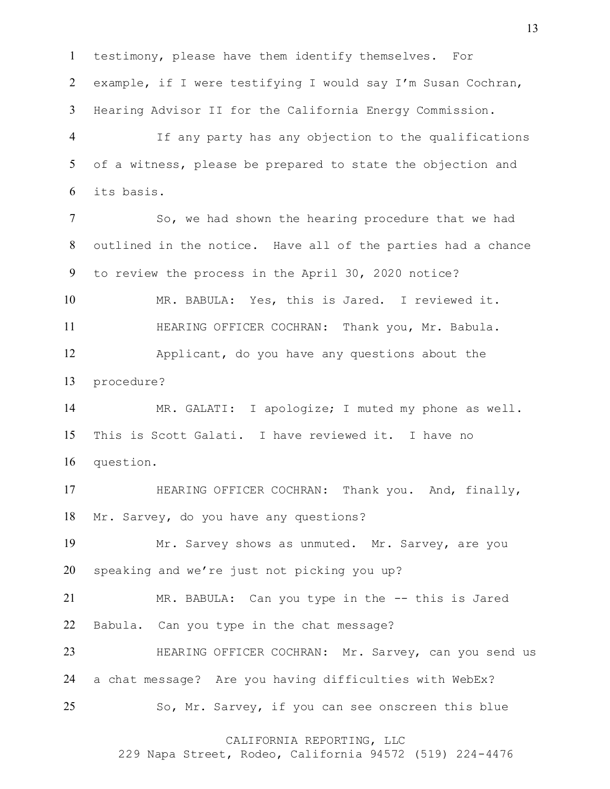testimony, please have them identify themselves. For example, if I were testifying I would say I'm Susan Cochran, Hearing Advisor II for the California Energy Commission.

 If any party has any objection to the qualifications of a witness, please be prepared to state the objection and its basis.

7 So, we had shown the hearing procedure that we had outlined in the notice. Have all of the parties had a chance to review the process in the April 30, 2020 notice? MR. BABULA: Yes, this is Jared. I reviewed it. 11 HEARING OFFICER COCHRAN: Thank you, Mr. Babula.

 Applicant, do you have any questions about the procedure?

 MR. GALATI: I apologize; I muted my phone as well. This is Scott Galati. I have reviewed it. I have no question.

 HEARING OFFICER COCHRAN: Thank you. And, finally, Mr. Sarvey, do you have any questions?

 Mr. Sarvey shows as unmuted. Mr. Sarvey, are you speaking and we're just not picking you up?

 MR. BABULA: Can you type in the -- this is Jared Babula. Can you type in the chat message?

 HEARING OFFICER COCHRAN: Mr. Sarvey, can you send us a chat message? Are you having difficulties with WebEx? So, Mr. Sarvey, if you can see onscreen this blue

CALIFORNIA REPORTING, LLC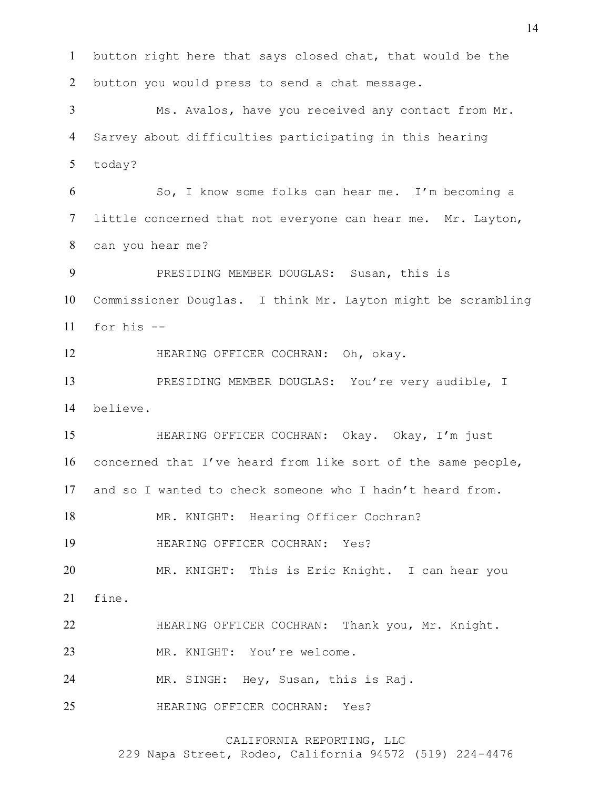button right here that says closed chat, that would be the button you would press to send a chat message. Ms. Avalos, have you received any contact from Mr. Sarvey about difficulties participating in this hearing today? So, I know some folks can hear me. I'm becoming a little concerned that not everyone can hear me. Mr. Layton, can you hear me? PRESIDING MEMBER DOUGLAS: Susan, this is Commissioner Douglas. I think Mr. Layton might be scrambling for his  $-$  HEARING OFFICER COCHRAN: Oh, okay. PRESIDING MEMBER DOUGLAS: You're very audible, I believe. HEARING OFFICER COCHRAN: Okay. Okay, I'm just concerned that I've heard from like sort of the same people, and so I wanted to check someone who I hadn't heard from. 18 MR. KNIGHT: Hearing Officer Cochran? HEARING OFFICER COCHRAN: Yes? MR. KNIGHT: This is Eric Knight. I can hear you fine. 22 HEARING OFFICER COCHRAN: Thank you, Mr. Knight. MR. KNIGHT: You're welcome.

MR. SINGH: Hey, Susan, this is Raj.

HEARING OFFICER COCHRAN: Yes?

CALIFORNIA REPORTING, LLC

229 Napa Street, Rodeo, California 94572 (519) 224-4476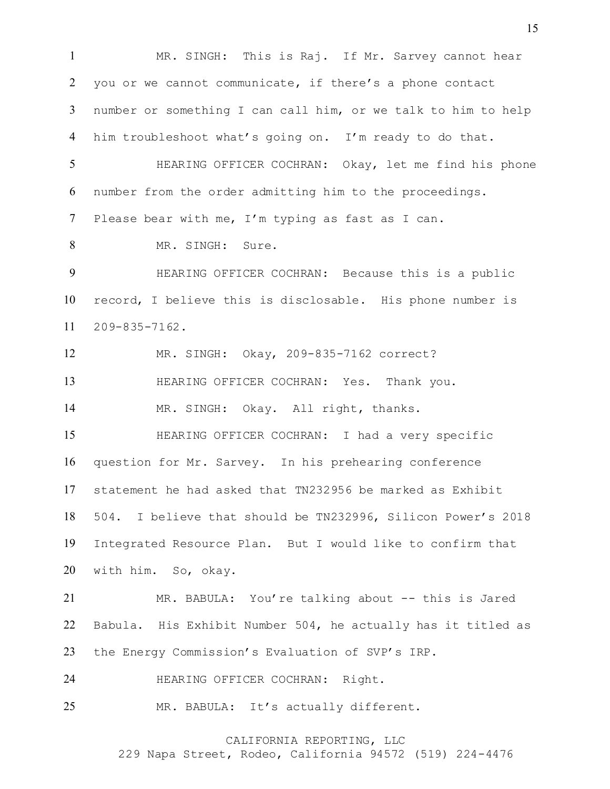MR. SINGH: This is Raj. If Mr. Sarvey cannot hear you or we cannot communicate, if there's a phone contact number or something I can call him, or we talk to him to help him troubleshoot what's going on. I'm ready to do that. HEARING OFFICER COCHRAN: Okay, let me find his phone number from the order admitting him to the proceedings. Please bear with me, I'm typing as fast as I can. MR. SINGH: Sure. HEARING OFFICER COCHRAN: Because this is a public record, I believe this is disclosable. His phone number is 209-835-7162. MR. SINGH: Okay, 209-835-7162 correct? HEARING OFFICER COCHRAN: Yes. Thank you. MR. SINGH: Okay. All right, thanks. HEARING OFFICER COCHRAN: I had a very specific question for Mr. Sarvey. In his prehearing conference statement he had asked that TN232956 be marked as Exhibit 504. I believe that should be TN232996, Silicon Power's 2018 Integrated Resource Plan. But I would like to confirm that with him. So, okay. MR. BABULA: You're talking about -- this is Jared Babula. His Exhibit Number 504, he actually has it titled as the Energy Commission's Evaluation of SVP's IRP. HEARING OFFICER COCHRAN: Right. MR. BABULA: It's actually different.

CALIFORNIA REPORTING, LLC

229 Napa Street, Rodeo, California 94572 (519) 224-4476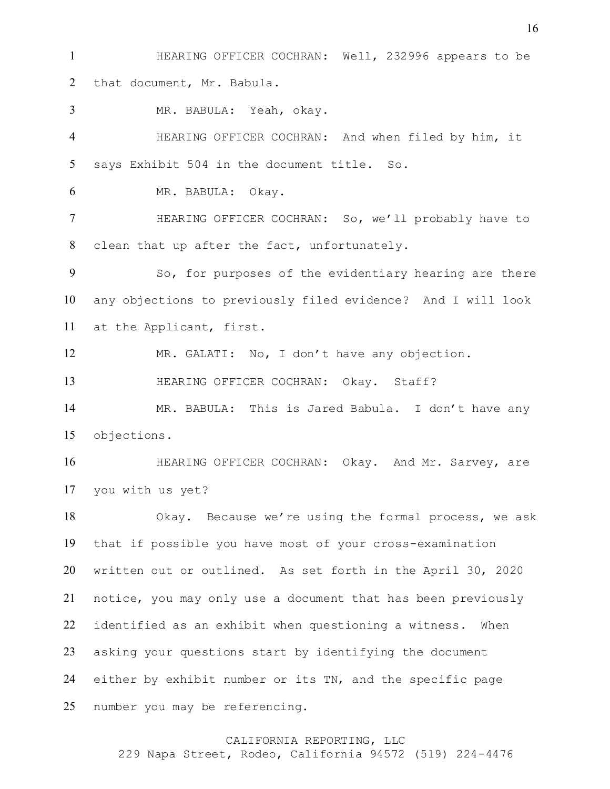HEARING OFFICER COCHRAN: Well, 232996 appears to be that document, Mr. Babula.

MR. BABULA: Yeah, okay.

 HEARING OFFICER COCHRAN: And when filed by him, it says Exhibit 504 in the document title. So.

MR. BABULA: Okay.

 HEARING OFFICER COCHRAN: So, we'll probably have to clean that up after the fact, unfortunately.

 So, for purposes of the evidentiary hearing are there any objections to previously filed evidence? And I will look at the Applicant, first.

MR. GALATI: No, I don't have any objection.

HEARING OFFICER COCHRAN: Okay. Staff?

 MR. BABULA: This is Jared Babula. I don't have any objections.

 HEARING OFFICER COCHRAN: Okay. And Mr. Sarvey, are you with us yet?

 Okay. Because we're using the formal process, we ask that if possible you have most of your cross-examination written out or outlined. As set forth in the April 30, 2020 notice, you may only use a document that has been previously identified as an exhibit when questioning a witness. When asking your questions start by identifying the document either by exhibit number or its TN, and the specific page number you may be referencing.

### CALIFORNIA REPORTING, LLC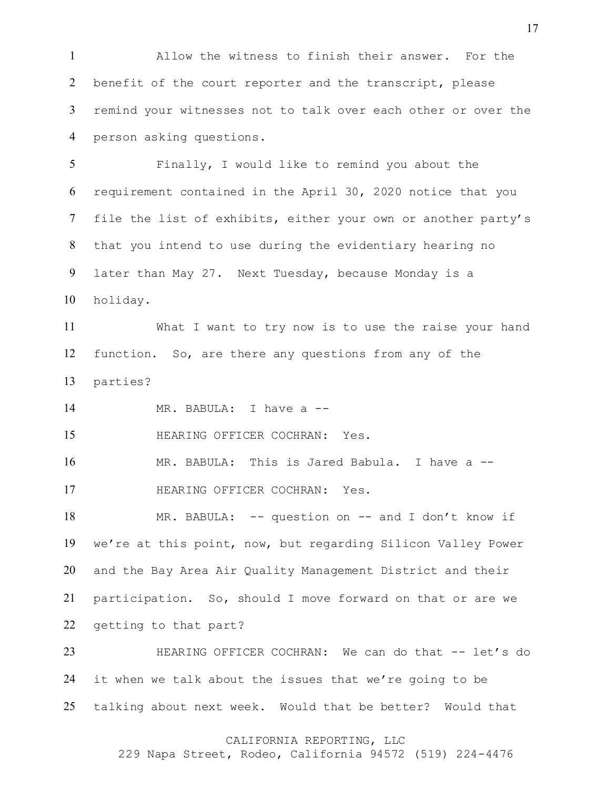Allow the witness to finish their answer. For the benefit of the court reporter and the transcript, please remind your witnesses not to talk over each other or over the person asking questions.

 Finally, I would like to remind you about the requirement contained in the April 30, 2020 notice that you file the list of exhibits, either your own or another party's that you intend to use during the evidentiary hearing no later than May 27. Next Tuesday, because Monday is a holiday.

 What I want to try now is to use the raise your hand function. So, are there any questions from any of the parties?

MR. BABULA: I have a --

HEARING OFFICER COCHRAN: Yes.

MR. BABULA: This is Jared Babula. I have a --

HEARING OFFICER COCHRAN: Yes.

18 MR. BABULA: -- question on -- and I don't know if we're at this point, now, but regarding Silicon Valley Power and the Bay Area Air Quality Management District and their participation. So, should I move forward on that or are we getting to that part?

23 HEARING OFFICER COCHRAN: We can do that -- let's do it when we talk about the issues that we're going to be talking about next week. Would that be better? Would that

### CALIFORNIA REPORTING, LLC

229 Napa Street, Rodeo, California 94572 (519) 224-4476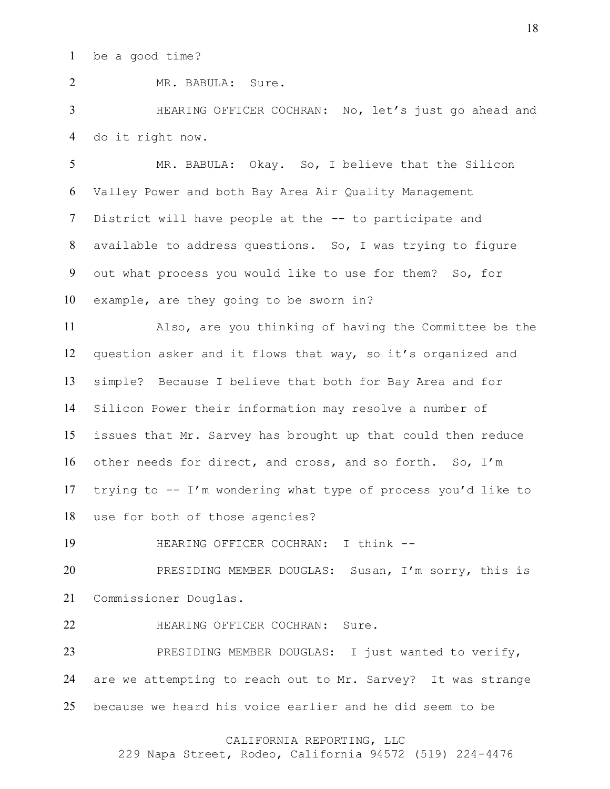MR. BABULA: Sure.

 HEARING OFFICER COCHRAN: No, let's just go ahead and do it right now.

 MR. BABULA: Okay. So, I believe that the Silicon Valley Power and both Bay Area Air Quality Management District will have people at the -- to participate and available to address questions. So, I was trying to figure out what process you would like to use for them? So, for example, are they going to be sworn in?

 Also, are you thinking of having the Committee be the question asker and it flows that way, so it's organized and simple? Because I believe that both for Bay Area and for Silicon Power their information may resolve a number of issues that Mr. Sarvey has brought up that could then reduce other needs for direct, and cross, and so forth. So, I'm trying to -- I'm wondering what type of process you'd like to use for both of those agencies?

19 HEARING OFFICER COCHRAN: I think --

 PRESIDING MEMBER DOUGLAS: Susan, I'm sorry, this is Commissioner Douglas.

HEARING OFFICER COCHRAN: Sure.

 PRESIDING MEMBER DOUGLAS: I just wanted to verify, are we attempting to reach out to Mr. Sarvey? It was strange because we heard his voice earlier and he did seem to be

### CALIFORNIA REPORTING, LLC

229 Napa Street, Rodeo, California 94572 (519) 224-4476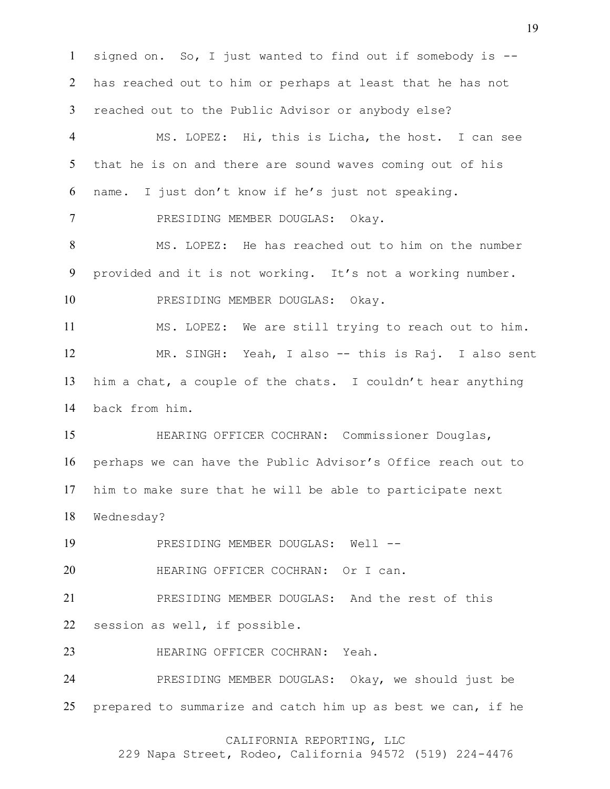signed on. So, I just wanted to find out if somebody is -- has reached out to him or perhaps at least that he has not reached out to the Public Advisor or anybody else? MS. LOPEZ: Hi, this is Licha, the host. I can see that he is on and there are sound waves coming out of his name. I just don't know if he's just not speaking. PRESIDING MEMBER DOUGLAS: Okay. MS. LOPEZ: He has reached out to him on the number provided and it is not working. It's not a working number. PRESIDING MEMBER DOUGLAS: Okay. MS. LOPEZ: We are still trying to reach out to him. MR. SINGH: Yeah, I also -- this is Raj. I also sent him a chat, a couple of the chats. I couldn't hear anything back from him. HEARING OFFICER COCHRAN: Commissioner Douglas, perhaps we can have the Public Advisor's Office reach out to him to make sure that he will be able to participate next Wednesday? 19 PRESIDING MEMBER DOUGLAS: Well --**HEARING OFFICER COCHRAN:** Or I can. PRESIDING MEMBER DOUGLAS: And the rest of this session as well, if possible. HEARING OFFICER COCHRAN: Yeah. PRESIDING MEMBER DOUGLAS: Okay, we should just be prepared to summarize and catch him up as best we can, if he

# CALIFORNIA REPORTING, LLC

229 Napa Street, Rodeo, California 94572 (519) 224-4476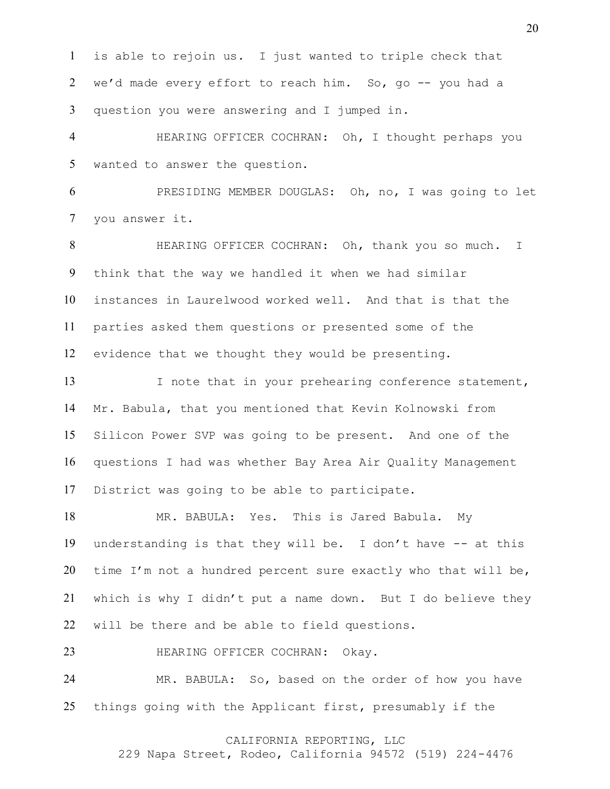is able to rejoin us. I just wanted to triple check that we'd made every effort to reach him. So, go -- you had a question you were answering and I jumped in.

 HEARING OFFICER COCHRAN: Oh, I thought perhaps you wanted to answer the question.

 PRESIDING MEMBER DOUGLAS: Oh, no, I was going to let you answer it.

 HEARING OFFICER COCHRAN: Oh, thank you so much. I think that the way we handled it when we had similar instances in Laurelwood worked well. And that is that the parties asked them questions or presented some of the evidence that we thought they would be presenting.

13 I note that in your prehearing conference statement, Mr. Babula, that you mentioned that Kevin Kolnowski from Silicon Power SVP was going to be present. And one of the questions I had was whether Bay Area Air Quality Management District was going to be able to participate.

 MR. BABULA: Yes. This is Jared Babula. My understanding is that they will be. I don't have -- at this time I'm not a hundred percent sure exactly who that will be, which is why I didn't put a name down. But I do believe they will be there and be able to field questions.

HEARING OFFICER COCHRAN: Okay.

 MR. BABULA: So, based on the order of how you have things going with the Applicant first, presumably if the

# CALIFORNIA REPORTING, LLC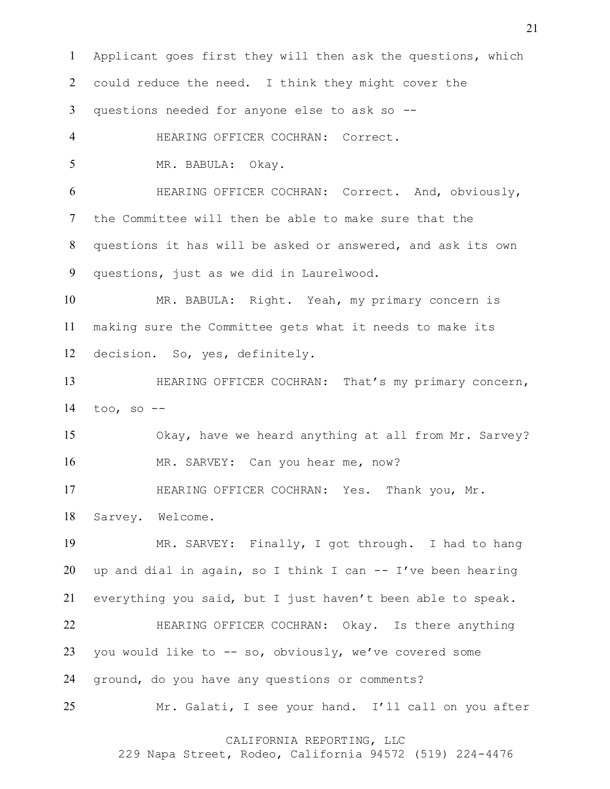Applicant goes first they will then ask the questions, which could reduce the need. I think they might cover the questions needed for anyone else to ask so -- HEARING OFFICER COCHRAN: Correct. MR. BABULA: Okay. HEARING OFFICER COCHRAN: Correct. And, obviously, the Committee will then be able to make sure that the questions it has will be asked or answered, and ask its own questions, just as we did in Laurelwood. MR. BABULA: Right. Yeah, my primary concern is making sure the Committee gets what it needs to make its decision. So, yes, definitely. HEARING OFFICER COCHRAN: That's my primary concern, too, so  $-$  Okay, have we heard anything at all from Mr. Sarvey? MR. SARVEY: Can you hear me, now? HEARING OFFICER COCHRAN: Yes. Thank you, Mr. Sarvey. Welcome. MR. SARVEY: Finally, I got through. I had to hang 20 up and dial in again, so I think I can  $-$  I've been hearing everything you said, but I just haven't been able to speak. HEARING OFFICER COCHRAN: Okay. Is there anything you would like to -- so, obviously, we've covered some ground, do you have any questions or comments? Mr. Galati, I see your hand. I'll call on you after

CALIFORNIA REPORTING, LLC

229 Napa Street, Rodeo, California 94572 (519) 224-4476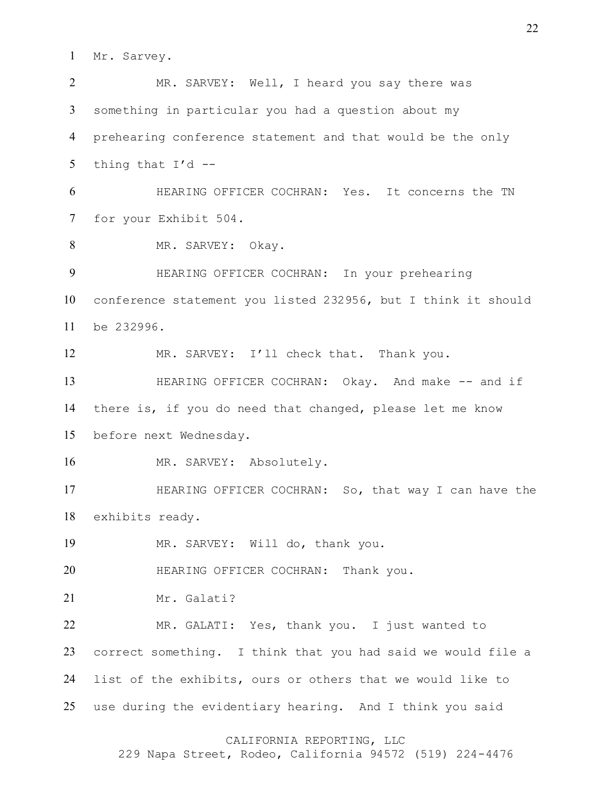Mr. Sarvey.

 MR. SARVEY: Well, I heard you say there was something in particular you had a question about my prehearing conference statement and that would be the only 5 thing that  $I'd$  -- HEARING OFFICER COCHRAN: Yes. It concerns the TN for your Exhibit 504. 8 MR. SARVEY: Okay. HEARING OFFICER COCHRAN: In your prehearing conference statement you listed 232956, but I think it should be 232996. MR. SARVEY: I'll check that. Thank you. 13 HEARING OFFICER COCHRAN: Okay. And make -- and if there is, if you do need that changed, please let me know before next Wednesday. 16 MR. SARVEY: Absolutely. HEARING OFFICER COCHRAN: So, that way I can have the exhibits ready. MR. SARVEY: Will do, thank you. **HEARING OFFICER COCHRAN:** Thank you. Mr. Galati? MR. GALATI: Yes, thank you. I just wanted to correct something. I think that you had said we would file a list of the exhibits, ours or others that we would like to use during the evidentiary hearing. And I think you said

# CALIFORNIA REPORTING, LLC

229 Napa Street, Rodeo, California 94572 (519) 224-4476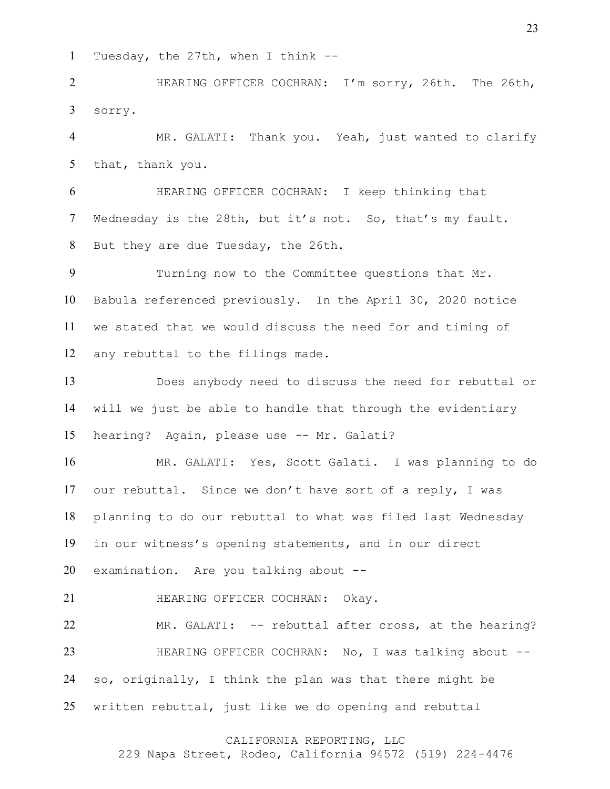Tuesday, the 27th, when I think --

 HEARING OFFICER COCHRAN: I'm sorry, 26th. The 26th, sorry.

 MR. GALATI: Thank you. Yeah, just wanted to clarify that, thank you.

 HEARING OFFICER COCHRAN: I keep thinking that Wednesday is the 28th, but it's not. So, that's my fault. But they are due Tuesday, the 26th.

 Turning now to the Committee questions that Mr. Babula referenced previously. In the April 30, 2020 notice we stated that we would discuss the need for and timing of any rebuttal to the filings made.

 Does anybody need to discuss the need for rebuttal or will we just be able to handle that through the evidentiary hearing? Again, please use -- Mr. Galati?

 MR. GALATI: Yes, Scott Galati. I was planning to do our rebuttal. Since we don't have sort of a reply, I was planning to do our rebuttal to what was filed last Wednesday in our witness's opening statements, and in our direct examination. Are you talking about --

**HEARING OFFICER COCHRAN: Okay.** 

 MR. GALATI: -- rebuttal after cross, at the hearing? 23 HEARING OFFICER COCHRAN: No, I was talking about -- so, originally, I think the plan was that there might be written rebuttal, just like we do opening and rebuttal

# CALIFORNIA REPORTING, LLC

229 Napa Street, Rodeo, California 94572 (519) 224-4476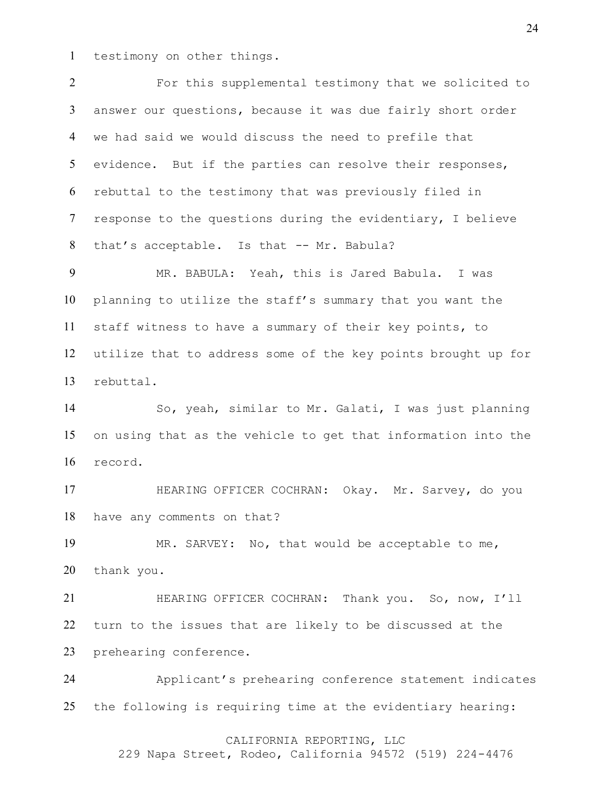testimony on other things.

 For this supplemental testimony that we solicited to answer our questions, because it was due fairly short order we had said we would discuss the need to prefile that evidence. But if the parties can resolve their responses, rebuttal to the testimony that was previously filed in response to the questions during the evidentiary, I believe 8 that's acceptable. Is that -- Mr. Babula?

 MR. BABULA: Yeah, this is Jared Babula. I was planning to utilize the staff's summary that you want the staff witness to have a summary of their key points, to utilize that to address some of the key points brought up for rebuttal.

 So, yeah, similar to Mr. Galati, I was just planning on using that as the vehicle to get that information into the record.

 HEARING OFFICER COCHRAN: Okay. Mr. Sarvey, do you have any comments on that?

 MR. SARVEY: No, that would be acceptable to me, thank you.

 HEARING OFFICER COCHRAN: Thank you. So, now, I'll turn to the issues that are likely to be discussed at the prehearing conference.

 Applicant's prehearing conference statement indicates the following is requiring time at the evidentiary hearing:

### CALIFORNIA REPORTING, LLC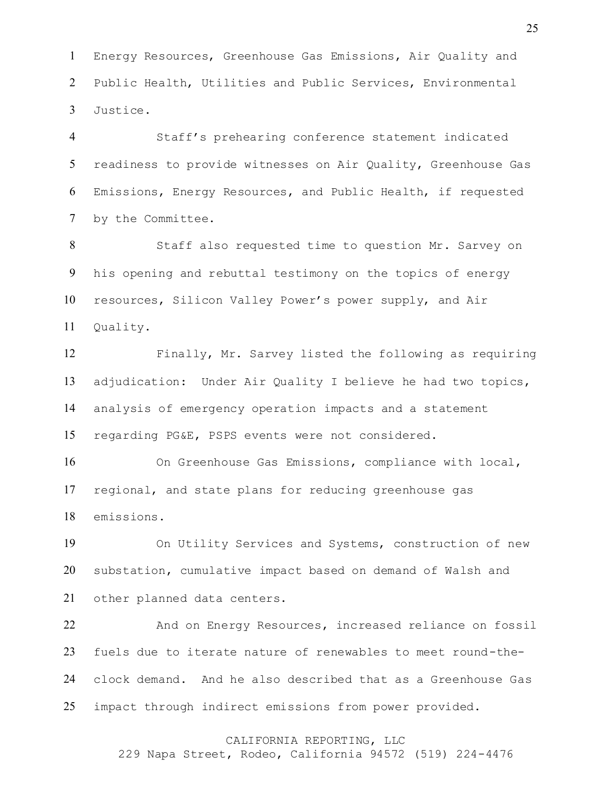Energy Resources, Greenhouse Gas Emissions, Air Quality and Public Health, Utilities and Public Services, Environmental Justice.

 Staff's prehearing conference statement indicated readiness to provide witnesses on Air Quality, Greenhouse Gas Emissions, Energy Resources, and Public Health, if requested by the Committee.

 Staff also requested time to question Mr. Sarvey on his opening and rebuttal testimony on the topics of energy resources, Silicon Valley Power's power supply, and Air Quality.

 Finally, Mr. Sarvey listed the following as requiring adjudication: Under Air Quality I believe he had two topics, analysis of emergency operation impacts and a statement regarding PG&E, PSPS events were not considered.

 On Greenhouse Gas Emissions, compliance with local, regional, and state plans for reducing greenhouse gas emissions.

 On Utility Services and Systems, construction of new substation, cumulative impact based on demand of Walsh and other planned data centers.

22 And on Energy Resources, increased reliance on fossil fuels due to iterate nature of renewables to meet round-the- clock demand. And he also described that as a Greenhouse Gas impact through indirect emissions from power provided.

### CALIFORNIA REPORTING, LLC

229 Napa Street, Rodeo, California 94572 (519) 224-4476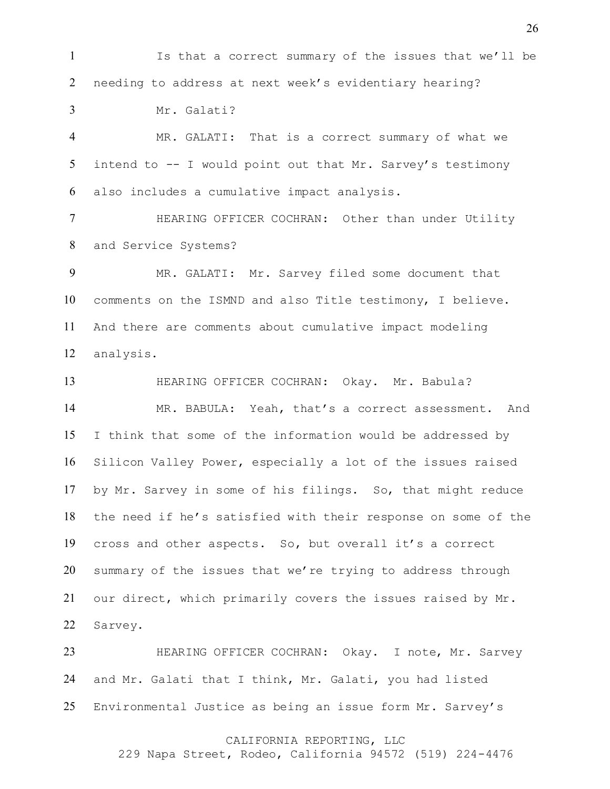Is that a correct summary of the issues that we'll be needing to address at next week's evidentiary hearing?

Mr. Galati?

 MR. GALATI: That is a correct summary of what we intend to -- I would point out that Mr. Sarvey's testimony also includes a cumulative impact analysis.

 HEARING OFFICER COCHRAN: Other than under Utility and Service Systems?

 MR. GALATI: Mr. Sarvey filed some document that comments on the ISMND and also Title testimony, I believe. And there are comments about cumulative impact modeling analysis.

 HEARING OFFICER COCHRAN: Okay. Mr. Babula? MR. BABULA: Yeah, that's a correct assessment. And I think that some of the information would be addressed by Silicon Valley Power, especially a lot of the issues raised by Mr. Sarvey in some of his filings. So, that might reduce the need if he's satisfied with their response on some of the cross and other aspects. So, but overall it's a correct summary of the issues that we're trying to address through our direct, which primarily covers the issues raised by Mr. Sarvey.

23 HEARING OFFICER COCHRAN: Okay. I note, Mr. Sarvey and Mr. Galati that I think, Mr. Galati, you had listed Environmental Justice as being an issue form Mr. Sarvey's

#### CALIFORNIA REPORTING, LLC

229 Napa Street, Rodeo, California 94572 (519) 224-4476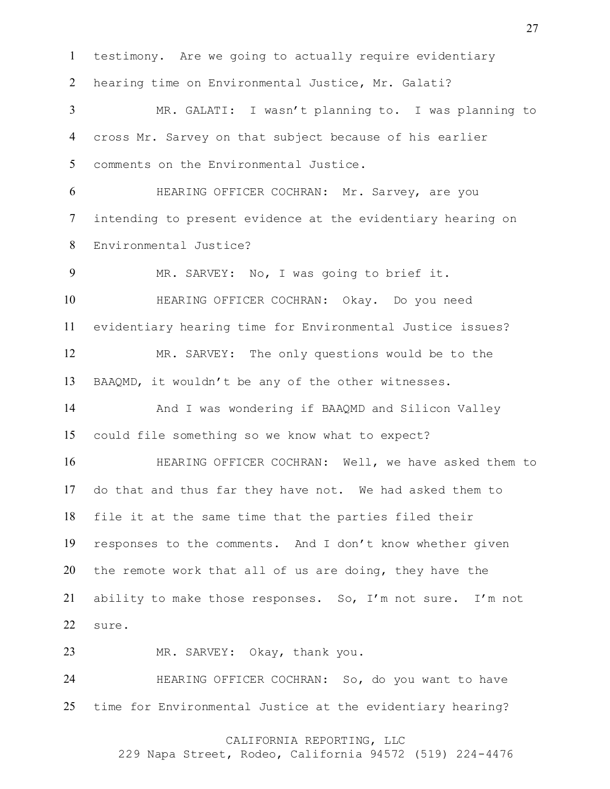testimony. Are we going to actually require evidentiary hearing time on Environmental Justice, Mr. Galati? MR. GALATI: I wasn't planning to. I was planning to cross Mr. Sarvey on that subject because of his earlier comments on the Environmental Justice. HEARING OFFICER COCHRAN: Mr. Sarvey, are you intending to present evidence at the evidentiary hearing on Environmental Justice? MR. SARVEY: No, I was going to brief it. HEARING OFFICER COCHRAN: Okay. Do you need evidentiary hearing time for Environmental Justice issues? MR. SARVEY: The only questions would be to the BAAQMD, it wouldn't be any of the other witnesses. And I was wondering if BAAQMD and Silicon Valley could file something so we know what to expect? HEARING OFFICER COCHRAN: Well, we have asked them to do that and thus far they have not. We had asked them to file it at the same time that the parties filed their responses to the comments. And I don't know whether given the remote work that all of us are doing, they have the ability to make those responses. So, I'm not sure. I'm not sure. MR. SARVEY: Okay, thank you. HEARING OFFICER COCHRAN: So, do you want to have time for Environmental Justice at the evidentiary hearing?

# CALIFORNIA REPORTING, LLC

229 Napa Street, Rodeo, California 94572 (519) 224-4476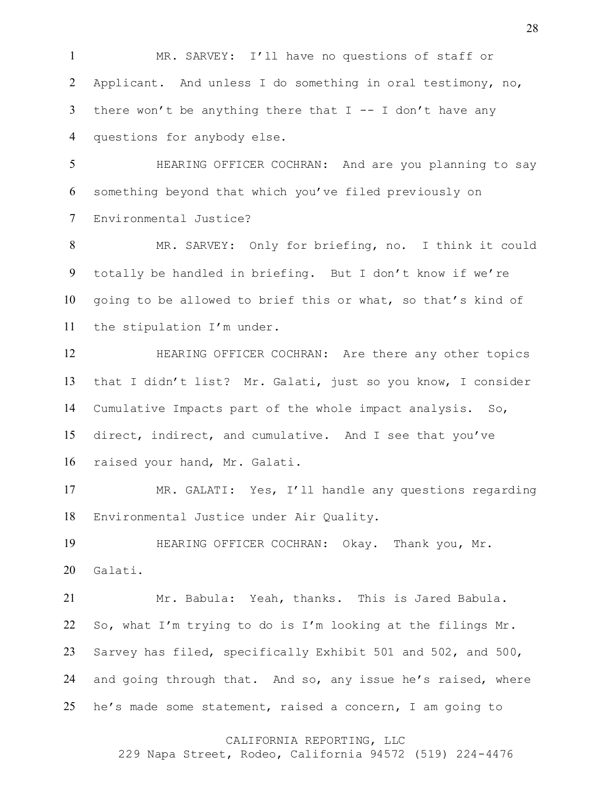MR. SARVEY: I'll have no questions of staff or Applicant. And unless I do something in oral testimony, no, 3 there won't be anything there that  $I - - I$  don't have any questions for anybody else.

 HEARING OFFICER COCHRAN: And are you planning to say something beyond that which you've filed previously on Environmental Justice?

 MR. SARVEY: Only for briefing, no. I think it could totally be handled in briefing. But I don't know if we're going to be allowed to brief this or what, so that's kind of the stipulation I'm under.

 HEARING OFFICER COCHRAN: Are there any other topics that I didn't list? Mr. Galati, just so you know, I consider Cumulative Impacts part of the whole impact analysis. So, direct, indirect, and cumulative. And I see that you've raised your hand, Mr. Galati.

 MR. GALATI: Yes, I'll handle any questions regarding Environmental Justice under Air Quality.

 HEARING OFFICER COCHRAN: Okay. Thank you, Mr. Galati.

 Mr. Babula: Yeah, thanks. This is Jared Babula. So, what I'm trying to do is I'm looking at the filings Mr. Sarvey has filed, specifically Exhibit 501 and 502, and 500, and going through that. And so, any issue he's raised, where he's made some statement, raised a concern, I am going to

### CALIFORNIA REPORTING, LLC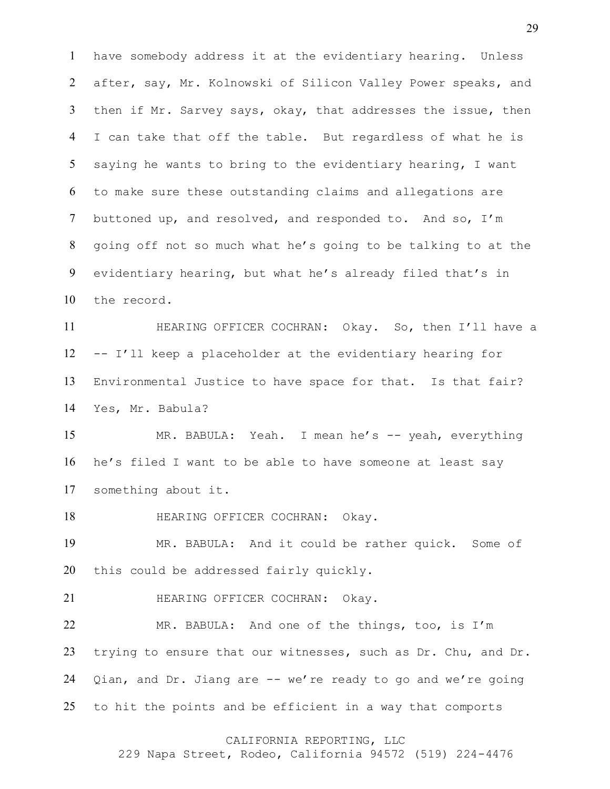have somebody address it at the evidentiary hearing. Unless after, say, Mr. Kolnowski of Silicon Valley Power speaks, and then if Mr. Sarvey says, okay, that addresses the issue, then I can take that off the table. But regardless of what he is saying he wants to bring to the evidentiary hearing, I want to make sure these outstanding claims and allegations are buttoned up, and resolved, and responded to. And so, I'm going off not so much what he's going to be talking to at the evidentiary hearing, but what he's already filed that's in the record.

 HEARING OFFICER COCHRAN: Okay. So, then I'll have a -- I'll keep a placeholder at the evidentiary hearing for Environmental Justice to have space for that. Is that fair? Yes, Mr. Babula?

15 MR. BABULA: Yeah. I mean he's -- yeah, everything he's filed I want to be able to have someone at least say something about it.

18 HEARING OFFICER COCHRAN: Okay.

 MR. BABULA: And it could be rather quick. Some of this could be addressed fairly quickly.

**HEARING OFFICER COCHRAN: Okay.** 

 MR. BABULA: And one of the things, too, is I'm trying to ensure that our witnesses, such as Dr. Chu, and Dr. Qian, and Dr. Jiang are -- we're ready to go and we're going to hit the points and be efficient in a way that comports

### CALIFORNIA REPORTING, LLC

229 Napa Street, Rodeo, California 94572 (519) 224-4476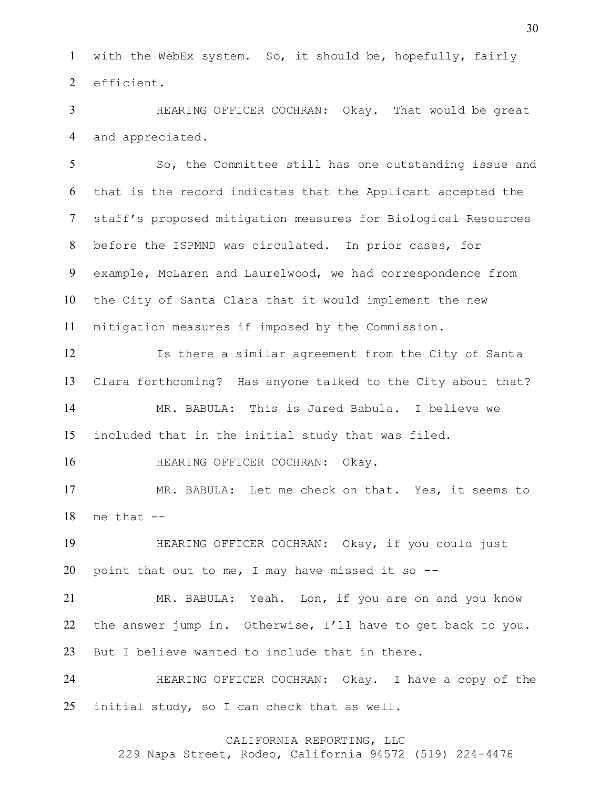with the WebEx system. So, it should be, hopefully, fairly efficient.

 HEARING OFFICER COCHRAN: Okay. That would be great and appreciated.

 So, the Committee still has one outstanding issue and that is the record indicates that the Applicant accepted the staff's proposed mitigation measures for Biological Resources before the ISPMND was circulated. In prior cases, for example, McLaren and Laurelwood, we had correspondence from the City of Santa Clara that it would implement the new mitigation measures if imposed by the Commission.

 Is there a similar agreement from the City of Santa Clara forthcoming? Has anyone talked to the City about that? MR. BABULA: This is Jared Babula. I believe we included that in the initial study that was filed.

HEARING OFFICER COCHRAN: Okay.

 MR. BABULA: Let me check on that. Yes, it seems to me that  $-$ 

 HEARING OFFICER COCHRAN: Okay, if you could just 20 point that out to me, I may have missed it so  $-$ -

 MR. BABULA: Yeah. Lon, if you are on and you know the answer jump in. Otherwise, I'll have to get back to you. But I believe wanted to include that in there.

 HEARING OFFICER COCHRAN: Okay. I have a copy of the initial study, so I can check that as well.

# CALIFORNIA REPORTING, LLC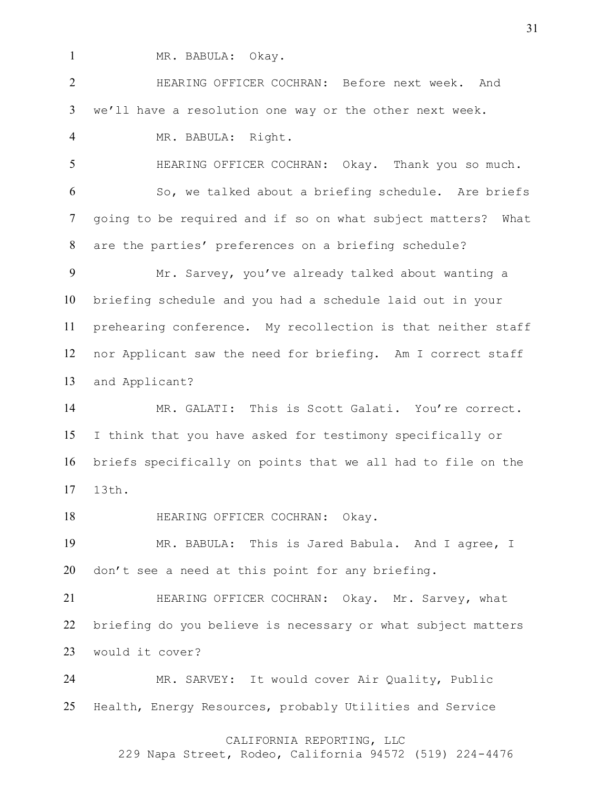1 MR. BABULA: Okay.

 HEARING OFFICER COCHRAN: Before next week. And we'll have a resolution one way or the other next week.

MR. BABULA: Right.

 HEARING OFFICER COCHRAN: Okay. Thank you so much. So, we talked about a briefing schedule. Are briefs going to be required and if so on what subject matters? What are the parties' preferences on a briefing schedule?

 Mr. Sarvey, you've already talked about wanting a briefing schedule and you had a schedule laid out in your prehearing conference. My recollection is that neither staff nor Applicant saw the need for briefing. Am I correct staff and Applicant?

 MR. GALATI: This is Scott Galati. You're correct. I think that you have asked for testimony specifically or briefs specifically on points that we all had to file on the 13th.

18 HEARING OFFICER COCHRAN: Okay.

 MR. BABULA: This is Jared Babula. And I agree, I don't see a need at this point for any briefing.

**HEARING OFFICER COCHRAN: Okay. Mr. Sarvey, what**  briefing do you believe is necessary or what subject matters would it cover?

 MR. SARVEY: It would cover Air Quality, Public Health, Energy Resources, probably Utilities and Service

# CALIFORNIA REPORTING, LLC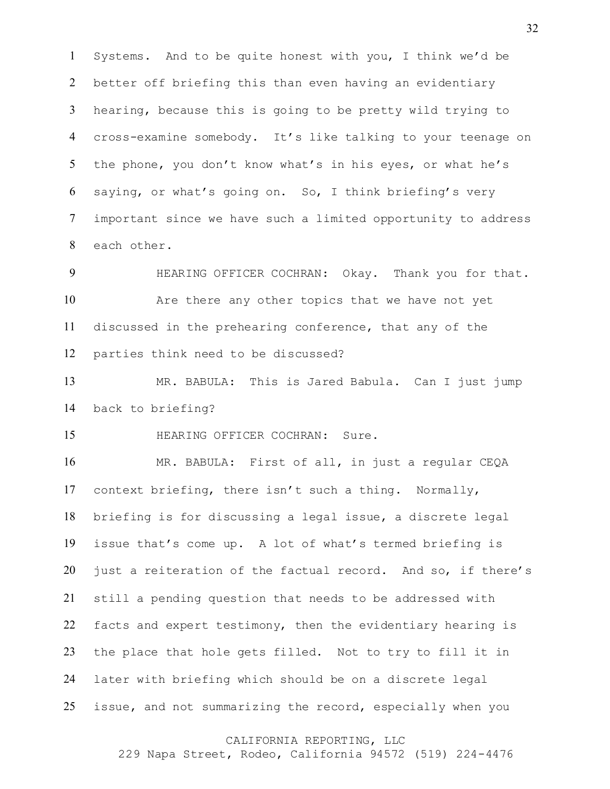Systems. And to be quite honest with you, I think we'd be better off briefing this than even having an evidentiary hearing, because this is going to be pretty wild trying to cross-examine somebody. It's like talking to your teenage on 5 the phone, you don't know what's in his eyes, or what he's saying, or what's going on. So, I think briefing's very important since we have such a limited opportunity to address each other.

 HEARING OFFICER COCHRAN: Okay. Thank you for that. Are there any other topics that we have not yet discussed in the prehearing conference, that any of the parties think need to be discussed?

 MR. BABULA: This is Jared Babula. Can I just jump back to briefing?

HEARING OFFICER COCHRAN: Sure.

 MR. BABULA: First of all, in just a regular CEQA context briefing, there isn't such a thing. Normally, briefing is for discussing a legal issue, a discrete legal issue that's come up. A lot of what's termed briefing is just a reiteration of the factual record. And so, if there's still a pending question that needs to be addressed with facts and expert testimony, then the evidentiary hearing is the place that hole gets filled. Not to try to fill it in later with briefing which should be on a discrete legal issue, and not summarizing the record, especially when you

CALIFORNIA REPORTING, LLC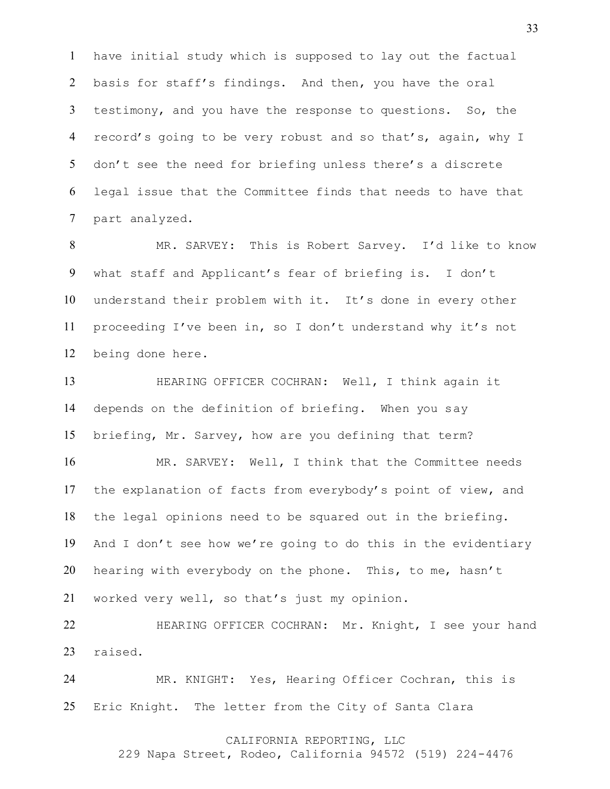have initial study which is supposed to lay out the factual basis for staff's findings. And then, you have the oral testimony, and you have the response to questions. So, the record's going to be very robust and so that's, again, why I don't see the need for briefing unless there's a discrete legal issue that the Committee finds that needs to have that part analyzed.

 MR. SARVEY: This is Robert Sarvey. I'd like to know what staff and Applicant's fear of briefing is. I don't understand their problem with it. It's done in every other proceeding I've been in, so I don't understand why it's not being done here.

 HEARING OFFICER COCHRAN: Well, I think again it depends on the definition of briefing. When you say briefing, Mr. Sarvey, how are you defining that term?

 MR. SARVEY: Well, I think that the Committee needs the explanation of facts from everybody's point of view, and the legal opinions need to be squared out in the briefing. And I don't see how we're going to do this in the evidentiary hearing with everybody on the phone. This, to me, hasn't worked very well, so that's just my opinion.

 HEARING OFFICER COCHRAN: Mr. Knight, I see your hand raised.

 MR. KNIGHT: Yes, Hearing Officer Cochran, this is Eric Knight. The letter from the City of Santa Clara

# CALIFORNIA REPORTING, LLC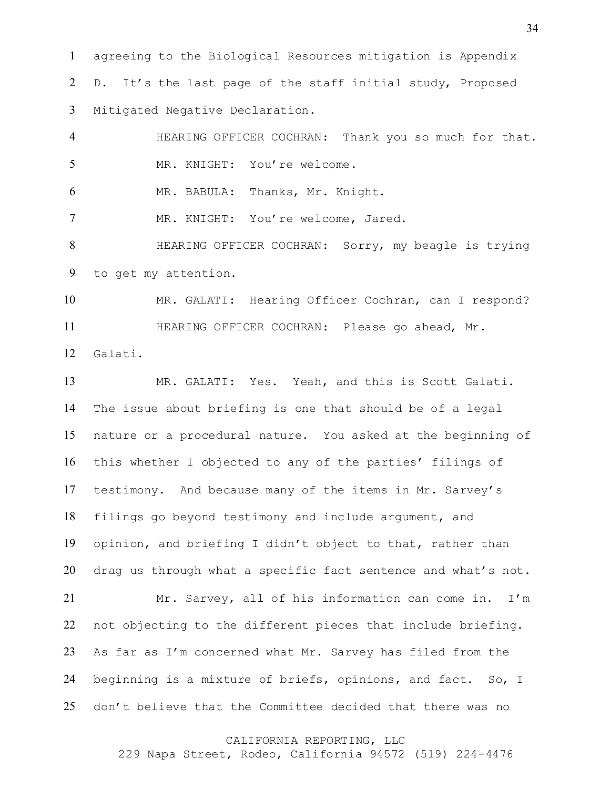agreeing to the Biological Resources mitigation is Appendix D. It's the last page of the staff initial study, Proposed Mitigated Negative Declaration.

 HEARING OFFICER COCHRAN: Thank you so much for that. MR. KNIGHT: You're welcome. MR. BABULA: Thanks, Mr. Knight. MR. KNIGHT: You're welcome, Jared.

 HEARING OFFICER COCHRAN: Sorry, my beagle is trying to get my attention.

 MR. GALATI: Hearing Officer Cochran, can I respond? HEARING OFFICER COCHRAN: Please go ahead, Mr. Galati.

 MR. GALATI: Yes. Yeah, and this is Scott Galati. The issue about briefing is one that should be of a legal nature or a procedural nature. You asked at the beginning of this whether I objected to any of the parties' filings of testimony. And because many of the items in Mr. Sarvey's filings go beyond testimony and include argument, and opinion, and briefing I didn't object to that, rather than drag us through what a specific fact sentence and what's not. Mr. Sarvey, all of his information can come in. I'm not objecting to the different pieces that include briefing. As far as I'm concerned what Mr. Sarvey has filed from the

 beginning is a mixture of briefs, opinions, and fact. So, I don't believe that the Committee decided that there was no

#### CALIFORNIA REPORTING, LLC

229 Napa Street, Rodeo, California 94572 (519) 224-4476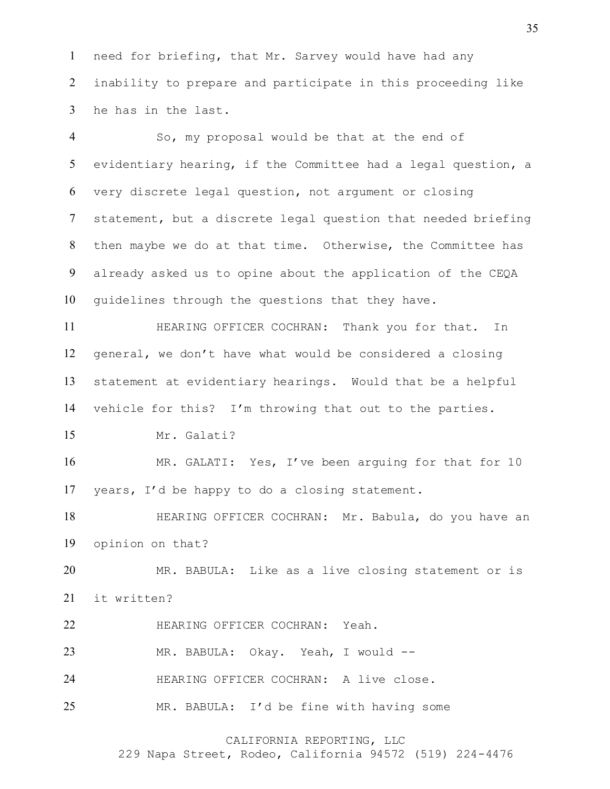need for briefing, that Mr. Sarvey would have had any inability to prepare and participate in this proceeding like he has in the last.

 So, my proposal would be that at the end of evidentiary hearing, if the Committee had a legal question, a very discrete legal question, not argument or closing statement, but a discrete legal question that needed briefing then maybe we do at that time. Otherwise, the Committee has already asked us to opine about the application of the CEQA guidelines through the questions that they have.

11 HEARING OFFICER COCHRAN: Thank you for that. In general, we don't have what would be considered a closing statement at evidentiary hearings. Would that be a helpful vehicle for this? I'm throwing that out to the parties.

Mr. Galati?

16 MR. GALATI: Yes, I've been arguing for that for 10 years, I'd be happy to do a closing statement.

 HEARING OFFICER COCHRAN: Mr. Babula, do you have an opinion on that?

 MR. BABULA: Like as a live closing statement or is it written?

HEARING OFFICER COCHRAN: Yeah.

MR. BABULA: Okay. Yeah, I would --

HEARING OFFICER COCHRAN: A live close.

MR. BABULA: I'd be fine with having some

CALIFORNIA REPORTING, LLC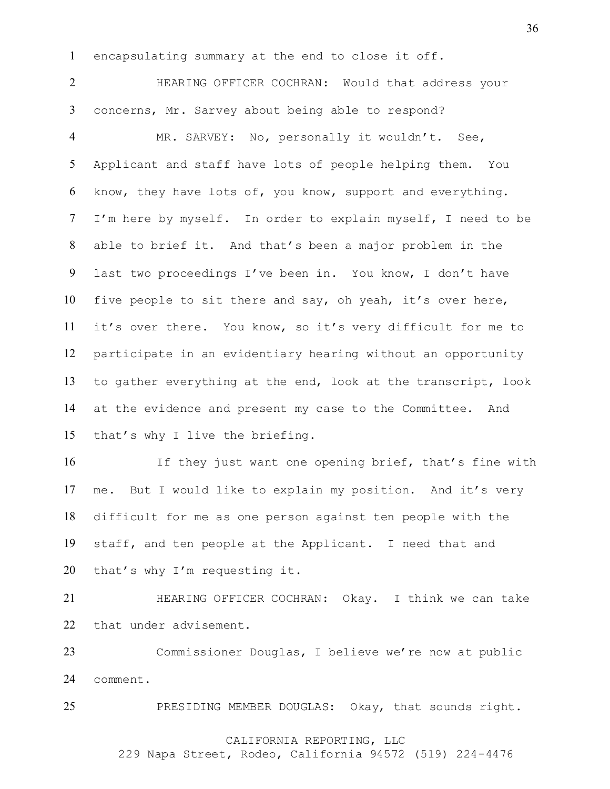encapsulating summary at the end to close it off.

 HEARING OFFICER COCHRAN: Would that address your concerns, Mr. Sarvey about being able to respond?

 MR. SARVEY: No, personally it wouldn't. See, Applicant and staff have lots of people helping them. You know, they have lots of, you know, support and everything. I'm here by myself. In order to explain myself, I need to be able to brief it. And that's been a major problem in the last two proceedings I've been in. You know, I don't have five people to sit there and say, oh yeah, it's over here, it's over there. You know, so it's very difficult for me to participate in an evidentiary hearing without an opportunity to gather everything at the end, look at the transcript, look at the evidence and present my case to the Committee. And that's why I live the briefing.

 If they just want one opening brief, that's fine with me. But I would like to explain my position. And it's very difficult for me as one person against ten people with the staff, and ten people at the Applicant. I need that and 20 that's why I'm requesting it.

 HEARING OFFICER COCHRAN: Okay. I think we can take that under advisement.

 Commissioner Douglas, I believe we're now at public comment.

PRESIDING MEMBER DOUGLAS: Okay, that sounds right.

# CALIFORNIA REPORTING, LLC

229 Napa Street, Rodeo, California 94572 (519) 224-4476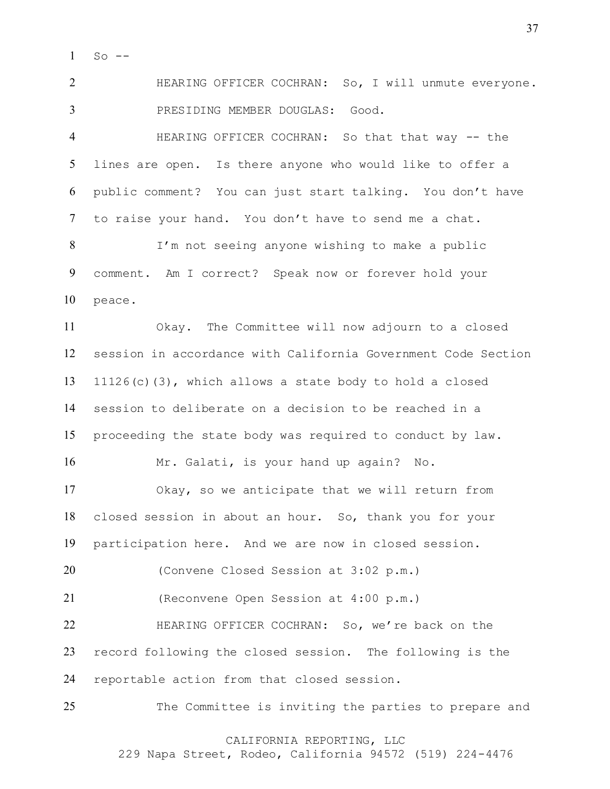So  $-$ 

 HEARING OFFICER COCHRAN: So, I will unmute everyone. PRESIDING MEMBER DOUGLAS: Good.

 HEARING OFFICER COCHRAN: So that that way -- the lines are open. Is there anyone who would like to offer a public comment? You can just start talking. You don't have to raise your hand. You don't have to send me a chat. I'm not seeing anyone wishing to make a public comment. Am I correct? Speak now or forever hold your peace.

 Okay. The Committee will now adjourn to a closed session in accordance with California Government Code Section 11126(c)(3), which allows a state body to hold a closed session to deliberate on a decision to be reached in a proceeding the state body was required to conduct by law.

Mr. Galati, is your hand up again? No.

 Okay, so we anticipate that we will return from closed session in about an hour. So, thank you for your participation here. And we are now in closed session.

(Convene Closed Session at 3:02 p.m.)

(Reconvene Open Session at 4:00 p.m.)

 HEARING OFFICER COCHRAN: So, we're back on the record following the closed session. The following is the reportable action from that closed session.

25 The Committee is inviting the parties to prepare and

CALIFORNIA REPORTING, LLC

229 Napa Street, Rodeo, California 94572 (519) 224-4476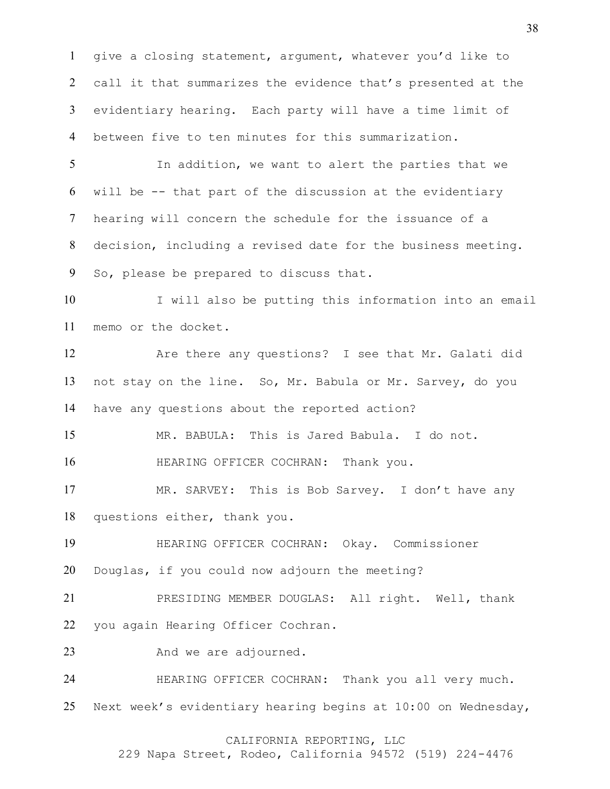give a closing statement, argument, whatever you'd like to call it that summarizes the evidence that's presented at the evidentiary hearing. Each party will have a time limit of between five to ten minutes for this summarization.

 In addition, we want to alert the parties that we will be -- that part of the discussion at the evidentiary hearing will concern the schedule for the issuance of a decision, including a revised date for the business meeting. So, please be prepared to discuss that.

 I will also be putting this information into an email memo or the docket.

 Are there any questions? I see that Mr. Galati did not stay on the line. So, Mr. Babula or Mr. Sarvey, do you have any questions about the reported action?

MR. BABULA: This is Jared Babula. I do not.

**HEARING OFFICER COCHRAN:** Thank you.

 MR. SARVEY: This is Bob Sarvey. I don't have any questions either, thank you.

 HEARING OFFICER COCHRAN: Okay. Commissioner Douglas, if you could now adjourn the meeting?

 PRESIDING MEMBER DOUGLAS: All right. Well, thank you again Hearing Officer Cochran.

23 And we are adjourned.

24 HEARING OFFICER COCHRAN: Thank you all very much. Next week's evidentiary hearing begins at 10:00 on Wednesday,

### CALIFORNIA REPORTING, LLC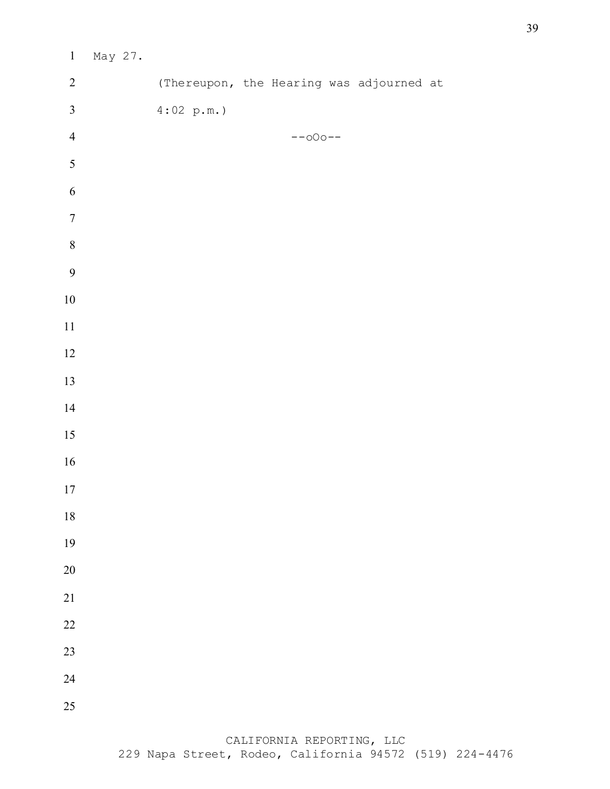| $\mathbf{1}$            | May 27. |                                          |           |  |  |
|-------------------------|---------|------------------------------------------|-----------|--|--|
| $\sqrt{2}$              |         | (Thereupon, the Hearing was adjourned at |           |  |  |
| $\overline{\mathbf{3}}$ |         | 4:02 p.m.                                |           |  |  |
| $\overline{4}$          |         |                                          | $--000--$ |  |  |
| $\overline{5}$          |         |                                          |           |  |  |
| 6                       |         |                                          |           |  |  |
| $\sqrt{ }$              |         |                                          |           |  |  |
| $\,8\,$                 |         |                                          |           |  |  |
| 9                       |         |                                          |           |  |  |
| $10\,$                  |         |                                          |           |  |  |
| $11\,$                  |         |                                          |           |  |  |
| 12                      |         |                                          |           |  |  |
| 13                      |         |                                          |           |  |  |
| 14                      |         |                                          |           |  |  |
| 15                      |         |                                          |           |  |  |
| 16                      |         |                                          |           |  |  |
| $17\,$                  |         |                                          |           |  |  |
| $18\,$                  |         |                                          |           |  |  |
| 19                      |         |                                          |           |  |  |
| 20                      |         |                                          |           |  |  |
| $21\,$                  |         |                                          |           |  |  |
| $22\,$                  |         |                                          |           |  |  |
| 23                      |         |                                          |           |  |  |
| 24                      |         |                                          |           |  |  |
| 25                      |         |                                          |           |  |  |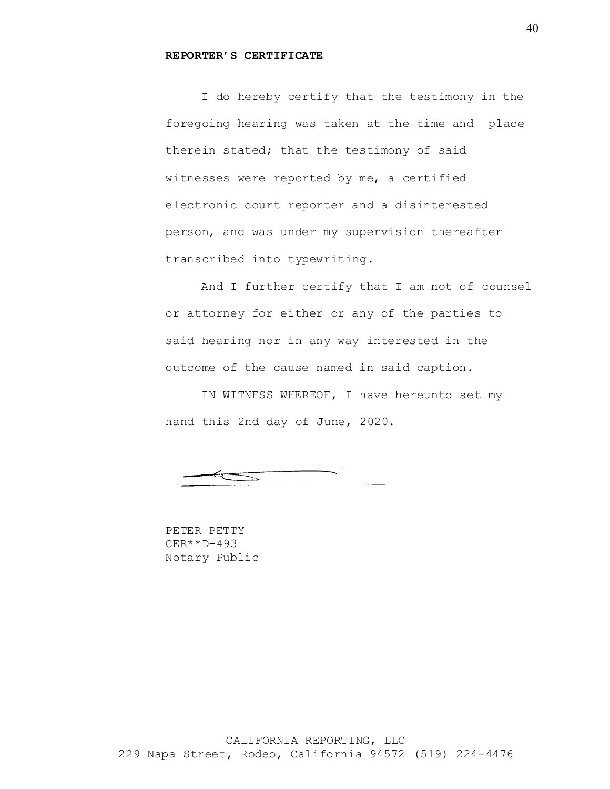#### **REPORTER'S CERTIFICATE**

I do hereby certify that the testimony in the foregoing hearing was taken at the time and place therein stated; that the testimony of said witnesses were reported by me, a certified electronic court reporter and a disinterested person, and was under my supervision thereafter transcribed into typewriting.

And I further certify that I am not of counsel or attorney for either or any of the parties to said hearing nor in any way interested in the outcome of the cause named in said caption.

IN WITNESS WHEREOF, I have hereunto set my hand this 2nd day of June, 2020.

PETER PETTY CER\*\*D-493 Notary Public